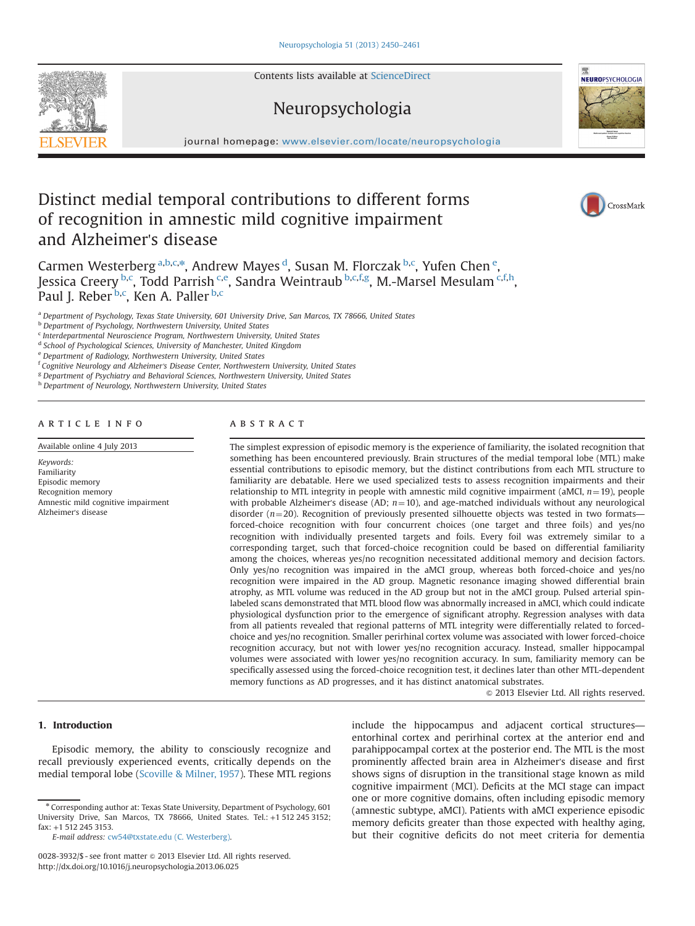Contents lists available at [ScienceDirect](www.sciencedirect.com/science/journal/00283932)

# Neuropsychologia

journal homepage: <www.elsevier.com/locate/neuropsychologia>ls.

# Distinct medial temporal contributions to different forms of recognition in amnestic mild cognitive impairment and Alzheimer's disease

Carmen Westerberg <sup>a,b,c,\*</sup>, Andrew Mayes <sup>d</sup>, Susan M. Florczak <sup>b,c</sup>, Yufen Chen <sup>e</sup>, Jessica Creery <sup>b,c</sup>, Todd Parrish <sup>c,e</sup>, Sandra Weintraub <sup>b,c,f,g</sup>, M.-Marsel Mesulam <sup>c,f,h</sup>, Paul J. Reber<sup>b,c</sup>, Ken A. Paller<sup>b,c</sup>

<sup>a</sup> Department of Psychology, Texas State University, 601 University Drive, San Marcos, TX 78666, United States

**b** Department of Psychology, Northwestern University, United States

<sup>c</sup> Interdepartmental Neuroscience Program, Northwestern University, United States

<sup>d</sup> School of Psychological Sciences, University of Manchester, United Kingdom

<sup>e</sup> Department of Radiology, Northwestern University, United States

<sup>f</sup> Cognitive Neurology and Alzheimer's Disease Center, Northwestern University, United States

<sup>g</sup> Department of Psychiatry and Behavioral Sciences, Northwestern University, United States

h Department of Neurology, Northwestern University, United States

# article info

Available online 4 July 2013

Keywords: Familiarity Episodic memory Recognition memory Amnestic mild cognitive impairment Alzheimer's disease

# **ABSTRACT**

The simplest expression of episodic memory is the experience of familiarity, the isolated recognition that something has been encountered previously. Brain structures of the medial temporal lobe (MTL) make essential contributions to episodic memory, but the distinct contributions from each MTL structure to familiarity are debatable. Here we used specialized tests to assess recognition impairments and their relationship to MTL integrity in people with amnestic mild cognitive impairment (aMCI,  $n=19$ ), people with probable Alzheimer's disease (AD;  $n=10$ ), and age-matched individuals without any neurological disorder ( $n=20$ ). Recognition of previously presented silhouette objects was tested in two formats forced-choice recognition with four concurrent choices (one target and three foils) and yes/no recognition with individually presented targets and foils. Every foil was extremely similar to a corresponding target, such that forced-choice recognition could be based on differential familiarity among the choices, whereas yes/no recognition necessitated additional memory and decision factors. Only yes/no recognition was impaired in the aMCI group, whereas both forced-choice and yes/no recognition were impaired in the AD group. Magnetic resonance imaging showed differential brain atrophy, as MTL volume was reduced in the AD group but not in the aMCI group. Pulsed arterial spinlabeled scans demonstrated that MTL blood flow was abnormally increased in aMCI, which could indicate physiological dysfunction prior to the emergence of significant atrophy. Regression analyses with data from all patients revealed that regional patterns of MTL integrity were differentially related to forcedchoice and yes/no recognition. Smaller perirhinal cortex volume was associated with lower forced-choice recognition accuracy, but not with lower yes/no recognition accuracy. Instead, smaller hippocampal volumes were associated with lower yes/no recognition accuracy. In sum, familiarity memory can be specifically assessed using the forced-choice recognition test, it declines later than other MTL-dependent memory functions as AD progresses, and it has distinct anatomical substrates.

 $©$  2013 Elsevier Ltd. All rights reserved.

# 1. Introduction

Episodic memory, the ability to consciously recognize and recall previously experienced events, critically depends on the medial temporal lobe [\(Scoville & Milner, 1957\)](#page-11-0). These MTL regions include the hippocampus and adjacent cortical structures entorhinal cortex and perirhinal cortex at the anterior end and parahippocampal cortex at the posterior end. The MTL is the most prominently affected brain area in Alzheimer's disease and first shows signs of disruption in the transitional stage known as mild cognitive impairment (MCI). Deficits at the MCI stage can impact one or more cognitive domains, often including episodic memory (amnestic subtype, aMCI). Patients with aMCI experience episodic memory deficits greater than those expected with healthy aging, but their cognitive deficits do not meet criteria for dementia







<sup>n</sup> Corresponding author at: Texas State University, Department of Psychology, 601 University Drive, San Marcos, TX 78666, United States. Tel.: +1 512 245 3152; fax: +1 512 245 3153.

E-mail address: [cw54@txstate.edu \(C. Westerberg\)](mailto:cw54@txstate.edu).

<sup>0028-3932/\$ -</sup> see front matter  $\circ$  2013 Elsevier Ltd. All rights reserved. <http://dx.doi.org/10.1016/j.neuropsychologia.2013.06.025>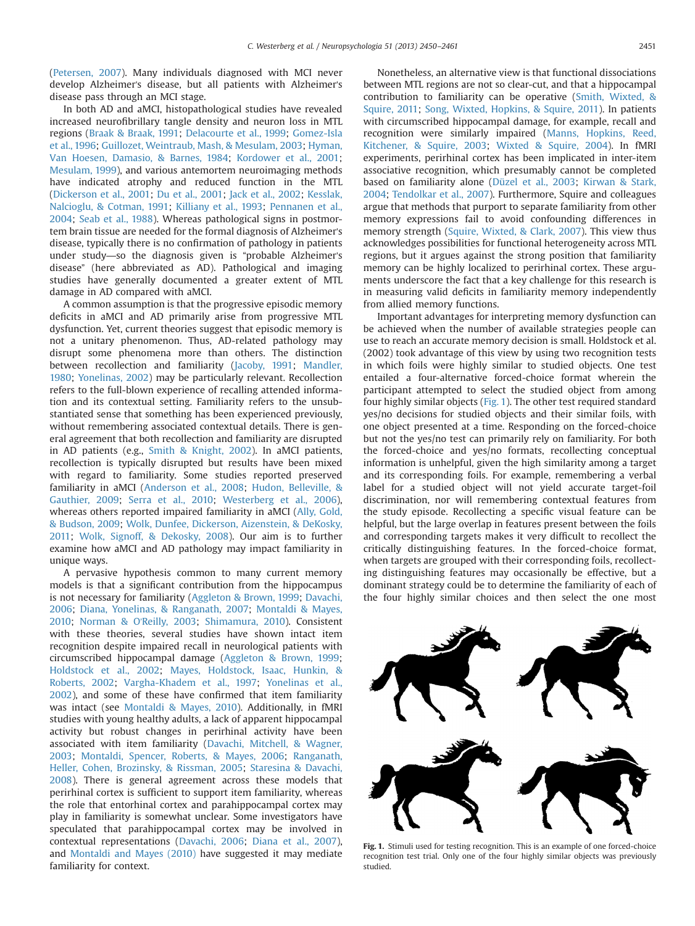<span id="page-1-0"></span>([Petersen, 2007](#page-11-0)). Many individuals diagnosed with MCI never develop Alzheimer's disease, but all patients with Alzheimer's disease pass through an MCI stage.

In both AD and aMCI, histopathological studies have revealed increased neurofibrillary tangle density and neuron loss in MTL regions [\(Braak & Braak, 1991](#page-10-0); [Delacourte et al., 1999](#page-10-0); [Gomez-Isla](#page-10-0) [et al., 1996](#page-10-0); [Guillozet, Weintraub, Mash, & Mesulam, 2003](#page-10-0); [Hyman,](#page-10-0) [Van Hoesen, Damasio,](#page-10-0) [& Barnes, 1984;](#page-10-0) [Kordower et al., 2001;](#page-10-0) [Mesulam, 1999\)](#page-10-0), and various antemortem neuroimaging methods have indicated atrophy and reduced function in the MTL ([Dickerson et al., 2001;](#page-10-0) [Du et al., 2001](#page-10-0); [Jack et al., 2002;](#page-10-0) [Kesslak,](#page-10-0) [Nalcioglu,](#page-10-0) & [Cotman, 1991;](#page-10-0) [Killiany et al., 1993](#page-10-0); [Pennanen et al.,](#page-11-0) [2004;](#page-11-0) [Seab et al., 1988](#page-11-0)). Whereas pathological signs in postmortem brain tissue are needed for the formal diagnosis of Alzheimer's disease, typically there is no confirmation of pathology in patients under study—so the diagnosis given is "probable Alzheimer's disease" (here abbreviated as AD). Pathological and imaging studies have generally documented a greater extent of MTL damage in AD compared with aMCI.

A common assumption is that the progressive episodic memory deficits in aMCI and AD primarily arise from progressive MTL dysfunction. Yet, current theories suggest that episodic memory is not a unitary phenomenon. Thus, AD-related pathology may disrupt some phenomena more than others. The distinction between recollection and familiarity [\(Jacoby, 1991](#page-10-0); [Mandler,](#page-10-0) [1980](#page-10-0); [Yonelinas, 2002](#page-11-0)) may be particularly relevant. Recollection refers to the full-blown experience of recalling attended information and its contextual setting. Familiarity refers to the unsubstantiated sense that something has been experienced previously, without remembering associated contextual details. There is general agreement that both recollection and familiarity are disrupted in AD patients (e.g., [Smith](#page-11-0) [& Knight, 2002\)](#page-11-0). In aMCI patients, recollection is typically disrupted but results have been mixed with regard to familiarity. Some studies reported preserved familiarity in aMCI ([Anderson et al., 2008](#page-9-0); [Hudon, Belleville, &](#page-10-0) [Gauthier, 2009;](#page-10-0) [Serra et al., 2010;](#page-11-0) [Westerberg et al., 2006\)](#page-11-0), whereas others reported impaired familiarity in aMCI ([Ally, Gold,](#page-9-0) [& Budson, 2009;](#page-9-0) [Wolk, Dunfee, Dickerson, Aizenstein, & DeKosky,](#page-11-0) [2011](#page-11-0); [Wolk, Signoff, & Dekosky, 2008\)](#page-11-0). Our aim is to further examine how aMCI and AD pathology may impact familiarity in unique ways.

A pervasive hypothesis common to many current memory models is that a significant contribution from the hippocampus is not necessary for familiarity [\(Aggleton & Brown, 1999](#page-9-0); [Davachi,](#page-10-0) [2006;](#page-10-0) [Diana, Yonelinas,](#page-10-0) & [Ranganath, 2007](#page-10-0); [Montaldi](#page-10-0) & [Mayes,](#page-10-0) [2010;](#page-10-0) [Norman &](#page-11-0) O'[Reilly, 2003](#page-11-0); [Shimamura, 2010](#page-11-0)). Consistent with these theories, several studies have shown intact item recognition despite impaired recall in neurological patients with circumscribed hippocampal damage [\(Aggleton & Brown, 1999;](#page-9-0) [Holdstock et al., 2002;](#page-10-0) [Mayes, Holdstock, Isaac, Hunkin, &](#page-10-0) [Roberts, 2002;](#page-10-0) [Vargha-Khadem et al., 1997](#page-11-0); [Yonelinas et al.,](#page-11-0) [2002\)](#page-11-0), and some of these have confirmed that item familiarity was intact (see [Montaldi](#page-10-0) & [Mayes, 2010](#page-10-0)). Additionally, in fMRI studies with young healthy adults, a lack of apparent hippocampal activity but robust changes in perirhinal activity have been associated with item familiarity ([Davachi, Mitchell, & Wagner,](#page-10-0) [2003;](#page-10-0) [Montaldi, Spencer, Roberts, & Mayes, 2006;](#page-11-0) [Ranganath,](#page-11-0) [Heller, Cohen, Brozinsky,](#page-11-0) [& Rissman, 2005](#page-11-0); [Staresina & Davachi,](#page-11-0) [2008\)](#page-11-0). There is general agreement across these models that perirhinal cortex is sufficient to support item familiarity, whereas the role that entorhinal cortex and parahippocampal cortex may play in familiarity is somewhat unclear. Some investigators have speculated that parahippocampal cortex may be involved in contextual representations [\(Davachi, 2006](#page-10-0); [Diana et al., 2007\)](#page-10-0), and [Montaldi and Mayes \(2010\)](#page-10-0) have suggested it may mediate familiarity for context.

Nonetheless, an alternative view is that functional dissociations between MTL regions are not so clear-cut, and that a hippocampal contribution to familiarity can be operative ([Smith, Wixted, &](#page-11-0) [Squire, 2011](#page-11-0); [Song, Wixted, Hopkins,](#page-11-0) [& Squire, 2011](#page-11-0)). In patients with circumscribed hippocampal damage, for example, recall and recognition were similarly impaired ([Manns, Hopkins, Reed,](#page-10-0) [Kitchener,](#page-10-0) & [Squire, 2003](#page-10-0); [Wixted & Squire, 2004](#page-11-0)). In fMRI experiments, perirhinal cortex has been implicated in inter-item associative recognition, which presumably cannot be completed based on familiarity alone [\(Düzel et al., 2003](#page-10-0); [Kirwan & Stark,](#page-10-0) [2004;](#page-10-0) [Tendolkar et al., 2007](#page-11-0)). Furthermore, Squire and colleagues argue that methods that purport to separate familiarity from other memory expressions fail to avoid confounding differences in memory strength [\(Squire, Wixted, & Clark, 2007](#page-11-0)). This view thus acknowledges possibilities for functional heterogeneity across MTL regions, but it argues against the strong position that familiarity memory can be highly localized to perirhinal cortex. These arguments underscore the fact that a key challenge for this research is in measuring valid deficits in familiarity memory independently from allied memory functions.

Important advantages for interpreting memory dysfunction can be achieved when the number of available strategies people can use to reach an accurate memory decision is small. Holdstock et al. (2002) took advantage of this view by using two recognition tests in which foils were highly similar to studied objects. One test entailed a four-alternative forced-choice format wherein the participant attempted to select the studied object from among four highly similar objects (Fig. 1). The other test required standard yes/no decisions for studied objects and their similar foils, with one object presented at a time. Responding on the forced-choice but not the yes/no test can primarily rely on familiarity. For both the forced-choice and yes/no formats, recollecting conceptual information is unhelpful, given the high similarity among a target and its corresponding foils. For example, remembering a verbal label for a studied object will not yield accurate target-foil discrimination, nor will remembering contextual features from the study episode. Recollecting a specific visual feature can be helpful, but the large overlap in features present between the foils and corresponding targets makes it very difficult to recollect the critically distinguishing features. In the forced-choice format, when targets are grouped with their corresponding foils, recollecting distinguishing features may occasionally be effective, but a dominant strategy could be to determine the familiarity of each of the four highly similar choices and then select the one most



Fig. 1. Stimuli used for testing recognition. This is an example of one forced-choice recognition test trial. Only one of the four highly similar objects was previously studied.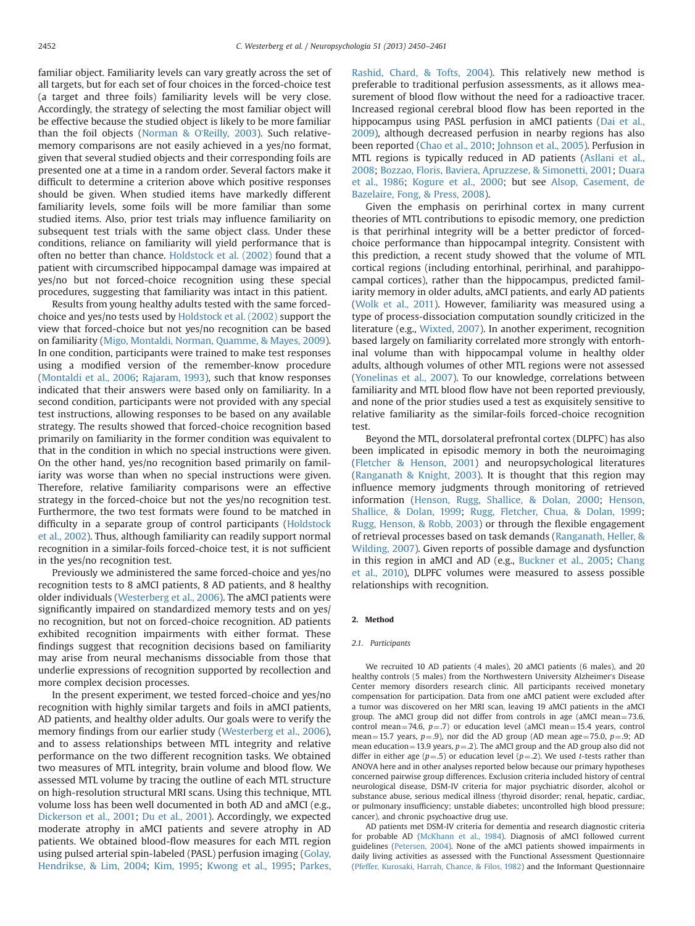familiar object. Familiarity levels can vary greatly across the set of all targets, but for each set of four choices in the forced-choice test (a target and three foils) familiarity levels will be very close. Accordingly, the strategy of selecting the most familiar object will be effective because the studied object is likely to be more familiar than the foil objects ([Norman &](#page-11-0) O'[Reilly, 2003](#page-11-0)). Such relativememory comparisons are not easily achieved in a yes/no format, given that several studied objects and their corresponding foils are presented one at a time in a random order. Several factors make it difficult to determine a criterion above which positive responses should be given. When studied items have markedly different familiarity levels, some foils will be more familiar than some studied items. Also, prior test trials may influence familiarity on subsequent test trials with the same object class. Under these conditions, reliance on familiarity will yield performance that is often no better than chance. [Holdstock et al. \(2002\)](#page-10-0) found that a patient with circumscribed hippocampal damage was impaired at yes/no but not forced-choice recognition using these special procedures, suggesting that familiarity was intact in this patient.

Results from young healthy adults tested with the same forcedchoice and yes/no tests used by [Holdstock et al. \(2002\)](#page-10-0) support the view that forced-choice but not yes/no recognition can be based on familiarity ([Migo, Montaldi, Norman, Quamme, & Mayes, 2009\)](#page-10-0). In one condition, participants were trained to make test responses using a modified version of the remember-know procedure ([Montaldi et al., 2006](#page-11-0); [Rajaram, 1993\)](#page-11-0), such that know responses indicated that their answers were based only on familiarity. In a second condition, participants were not provided with any special test instructions, allowing responses to be based on any available strategy. The results showed that forced-choice recognition based primarily on familiarity in the former condition was equivalent to that in the condition in which no special instructions were given. On the other hand, yes/no recognition based primarily on familiarity was worse than when no special instructions were given. Therefore, relative familiarity comparisons were an effective strategy in the forced-choice but not the yes/no recognition test. Furthermore, the two test formats were found to be matched in difficulty in a separate group of control participants ([Holdstock](#page-10-0) [et al., 2002](#page-10-0)). Thus, although familiarity can readily support normal recognition in a similar-foils forced-choice test, it is not sufficient in the yes/no recognition test.

Previously we administered the same forced-choice and yes/no recognition tests to 8 aMCI patients, 8 AD patients, and 8 healthy older individuals [\(Westerberg et al., 2006](#page-11-0)). The aMCI patients were significantly impaired on standardized memory tests and on yes/ no recognition, but not on forced-choice recognition. AD patients exhibited recognition impairments with either format. These findings suggest that recognition decisions based on familiarity may arise from neural mechanisms dissociable from those that underlie expressions of recognition supported by recollection and more complex decision processes.

In the present experiment, we tested forced-choice and yes/no recognition with highly similar targets and foils in aMCI patients, AD patients, and healthy older adults. Our goals were to verify the memory findings from our earlier study [\(Westerberg et al., 2006\)](#page-11-0), and to assess relationships between MTL integrity and relative performance on the two different recognition tasks. We obtained two measures of MTL integrity, brain volume and blood flow. We assessed MTL volume by tracing the outline of each MTL structure on high-resolution structural MRI scans. Using this technique, MTL volume loss has been well documented in both AD and aMCI (e.g., [Dickerson et al., 2001](#page-10-0); [Du et al., 2001](#page-10-0)). Accordingly, we expected moderate atrophy in aMCI patients and severe atrophy in AD patients. We obtained blood-flow measures for each MTL region using pulsed arterial spin-labeled (PASL) perfusion imaging ([Golay,](#page-10-0) [Hendrikse,](#page-10-0) & [Lim, 2004;](#page-10-0) [Kim, 1995;](#page-10-0) [Kwong et al., 1995;](#page-10-0) [Parkes,](#page-11-0) [Rashid, Chard, & Tofts, 2004](#page-11-0)). This relatively new method is preferable to traditional perfusion assessments, as it allows measurement of blood flow without the need for a radioactive tracer. Increased regional cerebral blood flow has been reported in the hippocampus using PASL perfusion in aMCI patients ([Dai et al.,](#page-10-0) [2009\)](#page-10-0), although decreased perfusion in nearby regions has also been reported [\(Chao et al., 2010](#page-10-0); [Johnson et al., 2005](#page-10-0)). Perfusion in MTL regions is typically reduced in AD patients ([Asllani et al.,](#page-9-0) [2008;](#page-9-0) [Bozzao, Floris, Baviera, Apruzzese, & Simonetti, 2001](#page-10-0); [Duara](#page-10-0) [et al., 1986](#page-10-0); [Kogure et al., 2000](#page-10-0); but see [Alsop, Casement, de](#page-9-0) [Bazelaire, Fong,](#page-9-0) [& Press, 2008](#page-9-0)).

Given the emphasis on perirhinal cortex in many current theories of MTL contributions to episodic memory, one prediction is that perirhinal integrity will be a better predictor of forcedchoice performance than hippocampal integrity. Consistent with this prediction, a recent study showed that the volume of MTL cortical regions (including entorhinal, perirhinal, and parahippocampal cortices), rather than the hippocampus, predicted familiarity memory in older adults, aMCI patients, and early AD patients ([Wolk et al., 2011](#page-11-0)). However, familiarity was measured using a type of process-dissociation computation soundly criticized in the literature (e.g., [Wixted, 2007](#page-11-0)). In another experiment, recognition based largely on familiarity correlated more strongly with entorhinal volume than with hippocampal volume in healthy older adults, although volumes of other MTL regions were not assessed ([Yonelinas et al., 2007](#page-11-0)). To our knowledge, correlations between familiarity and MTL blood flow have not been reported previously, and none of the prior studies used a test as exquisitely sensitive to relative familiarity as the similar-foils forced-choice recognition test.

Beyond the MTL, dorsolateral prefrontal cortex (DLPFC) has also been implicated in episodic memory in both the neuroimaging ([Fletcher & Henson, 2001](#page-10-0)) and neuropsychological literatures ([Ranganath & Knight, 2003\)](#page-11-0). It is thought that this region may influence memory judgments through monitoring of retrieved information [\(Henson, Rugg, Shallice, & Dolan, 2000;](#page-10-0) [Henson,](#page-10-0) [Shallice, & Dolan, 1999](#page-10-0); [Rugg, Fletcher, Chua,](#page-11-0) & [Dolan, 1999;](#page-11-0) [Rugg, Henson, & Robb, 2003](#page-11-0)) or through the flexible engagement of retrieval processes based on task demands [\(Ranganath, Heller,](#page-11-0) & [Wilding, 2007](#page-11-0)). Given reports of possible damage and dysfunction in this region in aMCI and AD (e.g., [Buckner et al., 2005;](#page-10-0) [Chang](#page-10-0) [et al., 2010\)](#page-10-0), DLPFC volumes were measured to assess possible relationships with recognition.

## 2. Method

#### 2.1. Participants

We recruited 10 AD patients (4 males), 20 aMCI patients (6 males), and 20 healthy controls (5 males) from the Northwestern University Alzheimer's Disease Center memory disorders research clinic. All participants received monetary compensation for participation. Data from one aMCI patient were excluded after a tumor was discovered on her MRI scan, leaving 19 aMCI patients in the aMCI group. The aMCI group did not differ from controls in age (aMCI mean= $73.6$ , control mean=74.6,  $p = .7$ ) or education level (aMCI mean=15.4 years, control mean = 15.7 years,  $p$  = .9), nor did the AD group (AD mean age = 75.0,  $p$  = .9; AD mean education = 13.9 years,  $p = 0.2$ ). The aMCI group and the AD group also did not differ in either age ( $p=0.5$ ) or education level ( $p=.2$ ). We used t-tests rather than ANOVA here and in other analyses reported below because our primary hypotheses concerned pairwise group differences. Exclusion criteria included history of central neurological disease, DSM-IV criteria for major psychiatric disorder, alcohol or substance abuse, serious medical illness (thyroid disorder; renal, hepatic, cardiac, or pulmonary insufficiency; unstable diabetes; uncontrolled high blood pressure; cancer), and chronic psychoactive drug use.

AD patients met DSM-IV criteria for dementia and research diagnostic criteria for probable AD [\(McKhann et al., 1984\)](#page-10-0). Diagnosis of aMCI followed current guidelines [\(Petersen, 2004](#page-11-0)). None of the aMCI patients showed impairments in daily living activities as assessed with the Functional Assessment Questionnaire [\(Pfeffer, Kurosaki, Harrah, Chance,](#page-11-0) & [Filos, 1982\)](#page-11-0) and the Informant Questionnaire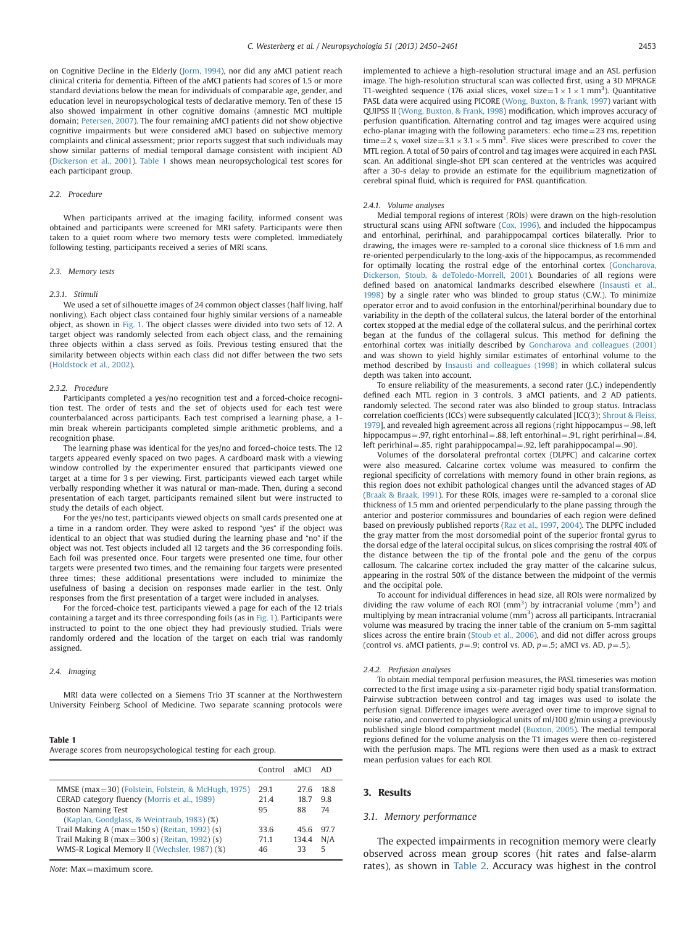on Cognitive Decline in the Elderly [\(Jorm, 1994](#page-10-0)), nor did any aMCI patient reach clinical criteria for dementia. Fifteen of the aMCI patients had scores of 1.5 or more standard deviations below the mean for individuals of comparable age, gender, and education level in neuropsychological tests of declarative memory. Ten of these 15 also showed impairment in other cognitive domains (amnestic MCI multiple domain; [Petersen, 2007\)](#page-11-0). The four remaining aMCI patients did not show objective cognitive impairments but were considered aMCI based on subjective memory complaints and clinical assessment; prior reports suggest that such individuals may show similar patterns of medial temporal damage consistent with incipient AD ([Dickerson et al., 2001](#page-10-0)). Table 1 shows mean neuropsychological test scores for each participant group.

# 2.2. Procedure

When participants arrived at the imaging facility, informed consent was obtained and participants were screened for MRI safety. Participants were then taken to a quiet room where two memory tests were completed. Immediately following testing, participants received a series of MRI scans.

## 2.3. Memory tests

## 2.3.1. Stimuli

We used a set of silhouette images of 24 common object classes (half living, half nonliving). Each object class contained four highly similar versions of a nameable object, as shown in [Fig. 1](#page-1-0). The object classes were divided into two sets of 12. A target object was randomly selected from each object class, and the remaining three objects within a class served as foils. Previous testing ensured that the similarity between objects within each class did not differ between the two sets ([Holdstock et al., 2002](#page-10-0)).

## 2.3.2. Procedure

Participants completed a yes/no recognition test and a forced-choice recognition test. The order of tests and the set of objects used for each test were counterbalanced across participants. Each test comprised a learning phase, a 1 min break wherein participants completed simple arithmetic problems, and a recognition phase.

The learning phase was identical for the yes/no and forced-choice tests. The 12 targets appeared evenly spaced on two pages. A cardboard mask with a viewing window controlled by the experimenter ensured that participants viewed one target at a time for 3 s per viewing. First, participants viewed each target while verbally responding whether it was natural or man-made. Then, during a second presentation of each target, participants remained silent but were instructed to study the details of each object.

For the yes/no test, participants viewed objects on small cards presented one at a time in a random order. They were asked to respond "yes" if the object was identical to an object that was studied during the learning phase and "no" if the object was not. Test objects included all 12 targets and the 36 corresponding foils. Each foil was presented once. Four targets were presented one time, four other targets were presented two times, and the remaining four targets were presented three times; these additional presentations were included to minimize the usefulness of basing a decision on responses made earlier in the test. Only responses from the first presentation of a target were included in analyses.

For the forced-choice test, participants viewed a page for each of the 12 trials containing a target and its three corresponding foils (as in [Fig. 1](#page-1-0)). Participants were instructed to point to the one object they had previously studied. Trials were randomly ordered and the location of the target on each trial was randomly assigned.

### 2.4. Imaging

MRI data were collected on a Siemens Trio 3T scanner at the Northwestern University Feinberg School of Medicine. Two separate scanning protocols were

# Table 1

Average scores from neuropsychological testing for each group.

|                                                                                                                                                                                 | Control            | aMCI                | AD.               |
|---------------------------------------------------------------------------------------------------------------------------------------------------------------------------------|--------------------|---------------------|-------------------|
| MMSE (max = 30) (Folstein, Folstein, & McHugh, 1975)<br>CERAD category fluency (Morris et al., 1989)<br><b>Boston Naming Test</b><br>(Kaplan, Goodglass, & Weintraub, 1983) (%) | 29.1<br>21.4<br>95 | 27.6<br>18.7<br>88  | 18.8<br>9.8<br>74 |
| Trail Making A (max = $150$ s) (Reitan, 1992) (s)<br>Trail Making B (max = $300 s$ ) (Reitan, 1992) (s)<br>WMS-R Logical Memory II (Wechsler, 1987) (%)                         | 33.6<br>71.1<br>46 | 45.6<br>134.4<br>33 | 97.7<br>N/A<br>5  |

Note:  $Max = maximum$  score.

implemented to achieve a high-resolution structural image and an ASL perfusion image. The high-resolution structural scan was collected first, using a 3D MPRAGE T1-weighted sequence (176 axial slices, voxel size =  $1 \times 1 \times 1$  mm<sup>3</sup>). Quantitative PASL data were acquired using PICORE [\(Wong, Buxton, & Frank, 1997\)](#page-11-0) variant with QUIPSS II ([Wong, Buxton,](#page-11-0) & [Frank, 1998\)](#page-11-0) modification, which improves accuracy of perfusion quantification. Alternating control and tag images were acquired using echo-planar imaging with the following parameters: echo time= $23$  ms, repetition time=2 s, voxel size=3.1  $\times$  3.1  $\times$  5 mm<sup>3</sup>. Five slices were prescribed to cover the MTL region. A total of 50 pairs of control and tag images were acquired in each PASL scan. An additional single-shot EPI scan centered at the ventricles was acquired after a 30-s delay to provide an estimate for the equilibrium magnetization of cerebral spinal fluid, which is required for PASL quantification.

#### 2.4.1. Volume analyses

Medial temporal regions of interest (ROIs) were drawn on the high-resolution structural scans using AFNI software ([Cox, 1996\)](#page-10-0), and included the hippocampus and entorhinal, perirhinal, and parahippocampal cortices bilaterally. Prior to drawing, the images were re-sampled to a coronal slice thickness of 1.6 mm and re-oriented perpendicularly to the long-axis of the hippocampus, as recommended for optimally locating the rostral edge of the entorhinal cortex [\(Goncharova,](#page-10-0) [Dickerson, Stoub,](#page-10-0) & [deToledo-Morrell, 2001\)](#page-10-0). Boundaries of all regions were defined based on anatomical landmarks described elsewhere ([Insausti et al.,](#page-10-0) [1998](#page-10-0)) by a single rater who was blinded to group status (C.W.). To minimize operator error and to avoid confusion in the entorhinal/perirhinal boundary due to variability in the depth of the collateral sulcus, the lateral border of the entorhinal cortex stopped at the medial edge of the collateral sulcus, and the perirhinal cortex began at the fundus of the collageral sulcus. This method for defining the entorhinal cortex was initially described by [Goncharova and colleagues \(2001\)](#page-10-0) and was shown to yield highly similar estimates of entorhinal volume to the method described by [Insausti and colleagues \(1998\)](#page-10-0) in which collateral sulcus depth was taken into account.

To ensure reliability of the measurements, a second rater (J.C.) independently defined each MTL region in 3 controls, 3 aMCI patients, and 2 AD patients, randomly selected. The second rater was also blinded to group status. Intraclass correlation coefficients (ICCs) were subsequently calculated [ICC(3); [Shrout](#page-11-0) & [Fleiss,](#page-11-0) [1979](#page-11-0)], and revealed high agreement across all regions (right hippocampus =  $.98$ , left hippocampus = .97, right entorhinal = .88, left entorhinal = .91, right perirhinal = .84, left perirhinal = .85, right parahippocampal = .92, left parahippocampal = .90).

Volumes of the dorsolateral prefrontal cortex (DLPFC) and calcarine cortex were also measured. Calcarine cortex volume was measured to confirm the regional specificity of correlations with memory found in other brain regions, as this region does not exhibit pathological changes until the advanced stages of AD ([Braak](#page-10-0) [& Braak, 1991\)](#page-10-0). For these ROIs, images were re-sampled to a coronal slice thickness of 1.5 mm and oriented perpendicularly to the plane passing through the anterior and posterior commissures and boundaries of each region were defined based on previously published reports [\(Raz et al., 1997](#page-11-0), [2004](#page-11-0)). The DLPFC included the gray matter from the most dorsomedial point of the superior frontal gyrus to the dorsal edge of the lateral occipital sulcus, on slices comprising the rostral 40% of the distance between the tip of the frontal pole and the genu of the corpus callosum. The calcarine cortex included the gray matter of the calcarine sulcus, appearing in the rostral 50% of the distance between the midpoint of the vermis and the occipital pole.

To account for individual differences in head size, all ROIs were normalized by dividing the raw volume of each ROI  $\text{(mm}^3)$  by intracranial volume  $\text{(mm}^3)$  and multiplying by mean intracranial volume (mm<sup>3</sup>) across all participants. Intracranial volume was measured by tracing the inner table of the cranium on 5-mm sagittal slices across the entire brain ([Stoub et al., 2006\)](#page-11-0), and did not differ across groups (control vs. aMCI patients,  $p = .9$ ; control vs. AD,  $p = .5$ ; aMCI vs. AD,  $p = .5$ ).

## 2.4.2. Perfusion analyses

To obtain medial temporal perfusion measures, the PASL timeseries was motion corrected to the first image using a six-parameter rigid body spatial transformation. Pairwise subtraction between control and tag images was used to isolate the perfusion signal. Difference images were averaged over time to improve signal to noise ratio, and converted to physiological units of ml/100 g/min using a previously published single blood compartment model [\(Buxton, 2005](#page-10-0)). The medial temporal regions defined for the volume analysis on the T1 images were then co-registered with the perfusion maps. The MTL regions were then used as a mask to extract mean perfusion values for each ROI.

# 3. Results

### 3.1. Memory performance

The expected impairments in recognition memory were clearly observed across mean group scores (hit rates and false-alarm rates), as shown in [Table 2.](#page-4-0) Accuracy was highest in the control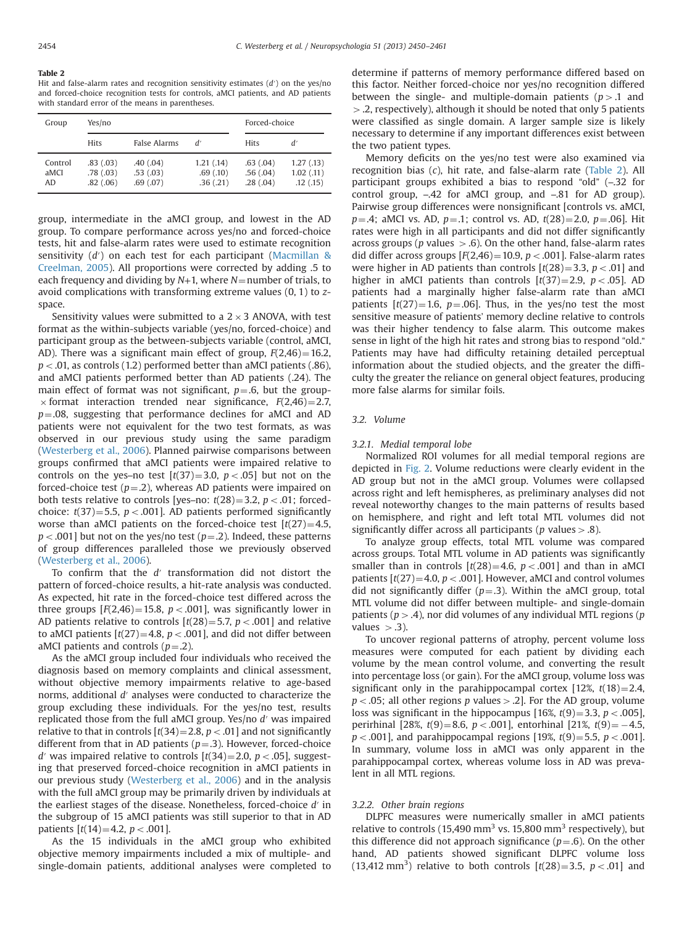#### <span id="page-4-0"></span>Table 2

Hit and false-alarm rates and recognition sensitivity estimates  $(d')$  on the yes/no and forced-choice recognition tests for controls, aMCI patients, and AD patients with standard error of the means in parentheses.

| Group                 | Yes/no                            |                                   |                                    | Forced-choice                     |                                      |  |
|-----------------------|-----------------------------------|-----------------------------------|------------------------------------|-----------------------------------|--------------------------------------|--|
|                       | <b>Hits</b>                       | False Alarms                      | ď                                  | <b>Hits</b>                       | ď                                    |  |
| Control<br>aMCI<br>AD | .83(0.03)<br>.78(.03)<br>.82(.06) | .40(0.04)<br>.53(.03)<br>.69(.07) | 1.21(0.14)<br>.69(.10)<br>.36(.21) | .63(0.04)<br>.56(.04)<br>.28(.04) | 1.27(0.13)<br>1.02(0.11)<br>.12(.15) |  |

group, intermediate in the aMCI group, and lowest in the AD group. To compare performance across yes/no and forced-choice tests, hit and false-alarm rates were used to estimate recognition sensitivity (d') on each test for each participant ([Macmillan](#page-10-0) & [Creelman, 2005](#page-10-0)). All proportions were corrected by adding .5 to each frequency and dividing by  $N+1$ , where  $N=n$ umber of trials, to avoid complications with transforming extreme values (0, 1) to zspace.

Sensitivity values were submitted to a  $2 \times 3$  ANOVA, with test format as the within-subjects variable (yes/no, forced-choice) and participant group as the between-subjects variable (control, aMCI, AD). There was a significant main effect of group,  $F(2,46) = 16.2$ ,  $p < .01$ , as controls (1.2) performed better than aMCI patients (.86), and aMCI patients performed better than AD patients (.24). The main effect of format was not significant,  $p = .6$ , but the group- $\times$  format interaction trended near significance,  $F(2,46) = 2.7$ ,  $p = .08$ , suggesting that performance declines for aMCI and AD patients were not equivalent for the two test formats, as was observed in our previous study using the same paradigm ([Westerberg et al., 2006\)](#page-11-0). Planned pairwise comparisons between groups confirmed that aMCI patients were impaired relative to controls on the yes–no test  $[t(37)=3.0, p<0.05]$  but not on the forced-choice test  $(p=0.2)$ , whereas AD patients were impaired on both tests relative to controls [yes–no:  $t(28) = 3.2$ ,  $p < .01$ ; forcedchoice:  $t(37)=5.5$ ,  $p < .001$ ]. AD patients performed significantly worse than aMCI patients on the forced-choice test  $[t(27)=4.5,$  $p < .001$ ] but not on the yes/no test ( $p = .2$ ). Indeed, these patterns of group differences paralleled those we previously observed ([Westerberg et al., 2006\)](#page-11-0).

To confirm that the d′ transformation did not distort the pattern of forced-choice results, a hit-rate analysis was conducted. As expected, hit rate in the forced-choice test differed across the three groups  $[F(2,46) = 15.8, p < .001]$ , was significantly lower in AD patients relative to controls  $[t(28)=5.7, p<.001]$  and relative to aMCI patients  $[t(27)=4.8, p<.001]$ , and did not differ between aMCI patients and controls  $(p=.2)$ .

As the aMCI group included four individuals who received the diagnosis based on memory complaints and clinical assessment, without objective memory impairments relative to age-based norms, additional d′ analyses were conducted to characterize the group excluding these individuals. For the yes/no test, results replicated those from the full aMCI group. Yes/no d′ was impaired relative to that in controls  $[t(34)=2.8, p<.01]$  and not significantly different from that in AD patients ( $p = .3$ ). However, forced-choice d' was impaired relative to controls  $[t(34)=2.0, p<0.05]$ , suggesting that preserved forced-choice recognition in aMCI patients in our previous study [\(Westerberg et al., 2006](#page-11-0)) and in the analysis with the full aMCI group may be primarily driven by individuals at the earliest stages of the disease. Nonetheless, forced-choice d′ in the subgroup of 15 aMCI patients was still superior to that in AD patients  $[t(14)=4.2, p<.001]$ .

As the 15 individuals in the aMCI group who exhibited objective memory impairments included a mix of multiple- and single-domain patients, additional analyses were completed to determine if patterns of memory performance differed based on this factor. Neither forced-choice nor yes/no recognition differed between the single- and multiple-domain patients ( $p>1$  and 4.2, respectively), although it should be noted that only 5 patients were classified as single domain. A larger sample size is likely necessary to determine if any important differences exist between the two patient types.

Memory deficits on the yes/no test were also examined via recognition bias (c), hit rate, and false-alarm rate (Table 2). All participant groups exhibited a bias to respond "old" (–.32 for control group, –.42 for aMCI group, and –.81 for AD group). Pairwise group differences were nonsignificant [controls vs. aMCI,  $p=4$ : aMCI vs. AD,  $p=1$ : control vs. AD,  $t(28)=2.0, p=.06$ . Hit rates were high in all participants and did not differ significantly across groups ( $p$  values  $> .6$ ). On the other hand, false-alarm rates did differ across groups  $[F(2,46) = 10.9, p < .001]$ . False-alarm rates were higher in AD patients than controls  $[t(28)=3.3, p<.01]$  and higher in aMCI patients than controls  $[t(37)=2.9, p<.05]$ . AD patients had a marginally higher false-alarm rate than aMCI patients  $[t(27)=1.6, p=.06]$ . Thus, in the yes/no test the most sensitive measure of patients' memory decline relative to controls was their higher tendency to false alarm. This outcome makes sense in light of the high hit rates and strong bias to respond "old." Patients may have had difficulty retaining detailed perceptual information about the studied objects, and the greater the difficulty the greater the reliance on general object features, producing more false alarms for similar foils.

## 3.2. Volume

# 3.2.1. Medial temporal lobe

Normalized ROI volumes for all medial temporal regions are depicted in [Fig. 2](#page-5-0). Volume reductions were clearly evident in the AD group but not in the aMCI group. Volumes were collapsed across right and left hemispheres, as preliminary analyses did not reveal noteworthy changes to the main patterns of results based on hemisphere, and right and left total MTL volumes did not significantly differ across all participants ( $p$  values  $> .8$ ).

To analyze group effects, total MTL volume was compared across groups. Total MTL volume in AD patients was significantly smaller than in controls  $[t(28)=4.6, p<.001]$  and than in aMCI patients  $[t(27)=4.0, p<.001]$ . However, aMCI and control volumes did not significantly differ ( $p = .3$ ). Within the aMCI group, total MTL volume did not differ between multiple- and single-domain patients ( $p > .4$ ), nor did volumes of any individual MTL regions ( $p$ ) values  $> .3$ ).

To uncover regional patterns of atrophy, percent volume loss measures were computed for each patient by dividing each volume by the mean control volume, and converting the result into percentage loss (or gain). For the aMCI group, volume loss was significant only in the parahippocampal cortex  $[12\%, t(18)=2.4,$  $p < .05$ ; all other regions p values  $> .2$ ]. For the AD group, volume loss was significant in the hippocampus [16%,  $t(9)=3.3$ ,  $p<0.005$ ], perirhinal [28%,  $t(9)=8.6$ ,  $p<0.001$ ], entorhinal [21%,  $t(9)=-4.5$ ,  $p < .001$ ], and parahippocampal regions [19%,  $t(9) = 5.5$ ,  $p < .001$ ]. In summary, volume loss in aMCI was only apparent in the parahippocampal cortex, whereas volume loss in AD was prevalent in all MTL regions.

## 3.2.2. Other brain regions

DLPFC measures were numerically smaller in aMCI patients relative to controls (15,490 mm<sup>3</sup> vs. 15,800 mm<sup>3</sup> respectively), but this difference did not approach significance ( $p = .6$ ). On the other hand, AD patients showed significant DLPFC volume loss  $(13,412 \text{ mm}^3)$  relative to both controls  $[t(28)=3.5, p<.01]$  and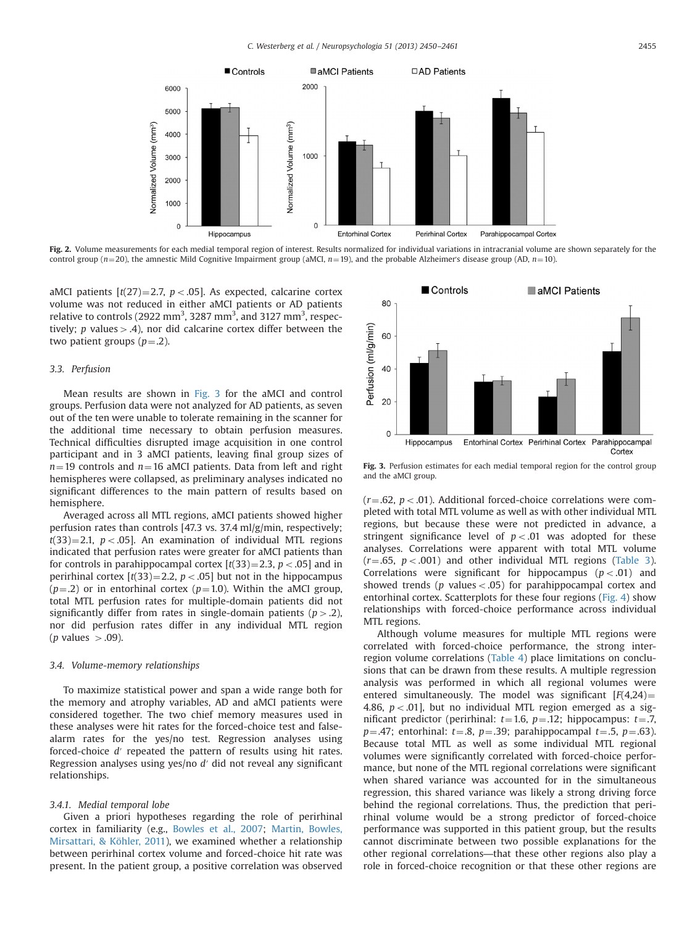<span id="page-5-0"></span>

Fig. 2. Volume measurements for each medial temporal region of interest. Results normalized for individual variations in intracranial volume are shown separately for the control group ( $n=20$ ), the amnestic Mild Cognitive Impairment group (aMCI,  $n=19$ ), and the probable Alzheimer's disease group (AD,  $n=10$ ).

aMCI patients  $[t(27)=2.7, p<0.05]$ . As expected, calcarine cortex volume was not reduced in either aMCI patients or AD patients relative to controls (2922  $\text{mm}^3$ , 3287  $\text{mm}^3$ , and 3127  $\text{mm}^3$ , respectively; p values  $> 0.4$ ), nor did calcarine cortex differ between the two patient groups  $(p=.2)$ .

# 3.3. Perfusion

Mean results are shown in Fig. 3 for the aMCI and control groups. Perfusion data were not analyzed for AD patients, as seven out of the ten were unable to tolerate remaining in the scanner for the additional time necessary to obtain perfusion measures. Technical difficulties disrupted image acquisition in one control participant and in 3 aMCI patients, leaving final group sizes of  $n=19$  controls and  $n=16$  aMCI patients. Data from left and right hemispheres were collapsed, as preliminary analyses indicated no significant differences to the main pattern of results based on hemisphere.

Averaged across all MTL regions, aMCI patients showed higher perfusion rates than controls [47.3 vs. 37.4 ml/g/min, respectively;  $t(33)=2.1, p<0.05$ ]. An examination of individual MTL regions indicated that perfusion rates were greater for aMCI patients than for controls in parahippocampal cortex  $[t(33)=2.3, p<.05]$  and in perirhinal cortex  $[t(33)=2.2, p<0.05]$  but not in the hippocampus  $(p=0.2)$  or in entorhinal cortex  $(p=1.0)$ . Within the aMCI group, total MTL perfusion rates for multiple-domain patients did not significantly differ from rates in single-domain patients ( $p > .2$ ), nor did perfusion rates differ in any individual MTL region (*p* values  $> .09$ ).

## 3.4. Volume-memory relationships

To maximize statistical power and span a wide range both for the memory and atrophy variables, AD and aMCI patients were considered together. The two chief memory measures used in these analyses were hit rates for the forced-choice test and falsealarm rates for the yes/no test. Regression analyses using forced-choice d′ repeated the pattern of results using hit rates. Regression analyses using yes/no d′ did not reveal any significant relationships.

## 3.4.1. Medial temporal lobe

Given a priori hypotheses regarding the role of perirhinal cortex in familiarity (e.g., [Bowles et al., 2007](#page-9-0); [Martin, Bowles,](#page-10-0) [Mirsattari,](#page-10-0) & [Köhler, 2011\)](#page-10-0), we examined whether a relationship between perirhinal cortex volume and forced-choice hit rate was present. In the patient group, a positive correlation was observed



Fig. 3. Perfusion estimates for each medial temporal region for the control group and the aMCI group.

( $r = .62$ ,  $p < .01$ ). Additional forced-choice correlations were completed with total MTL volume as well as with other individual MTL regions, but because these were not predicted in advance, a stringent significance level of  $p < .01$  was adopted for these analyses. Correlations were apparent with total MTL volume  $(r=.65, p<.001)$  and other individual MTL regions ([Table 3\)](#page-6-0). Correlations were significant for hippocampus ( $p < .01$ ) and showed trends ( $p$  values < .05) for parahippocampal cortex and entorhinal cortex. Scatterplots for these four regions [\(Fig. 4\)](#page-6-0) show relationships with forced-choice performance across individual MTL regions.

Although volume measures for multiple MTL regions were correlated with forced-choice performance, the strong interregion volume correlations [\(Table 4\)](#page-6-0) place limitations on conclusions that can be drawn from these results. A multiple regression analysis was performed in which all regional volumes were entered simultaneously. The model was significant  $[F(4,24)$  = 4.86,  $p < .01$ ], but no individual MTL region emerged as a significant predictor (perirhinal:  $t=1.6$ ,  $p=.12$ ; hippocampus:  $t=.7$ ,  $p=.47$ ; entorhinal:  $t=.8$ ,  $p=.39$ ; parahippocampal  $t=.5$ ,  $p=.63$ ). Because total MTL as well as some individual MTL regional volumes were significantly correlated with forced-choice performance, but none of the MTL regional correlations were significant when shared variance was accounted for in the simultaneous regression, this shared variance was likely a strong driving force behind the regional correlations. Thus, the prediction that perirhinal volume would be a strong predictor of forced-choice performance was supported in this patient group, but the results cannot discriminate between two possible explanations for the other regional correlations—that these other regions also play a role in forced-choice recognition or that these other regions are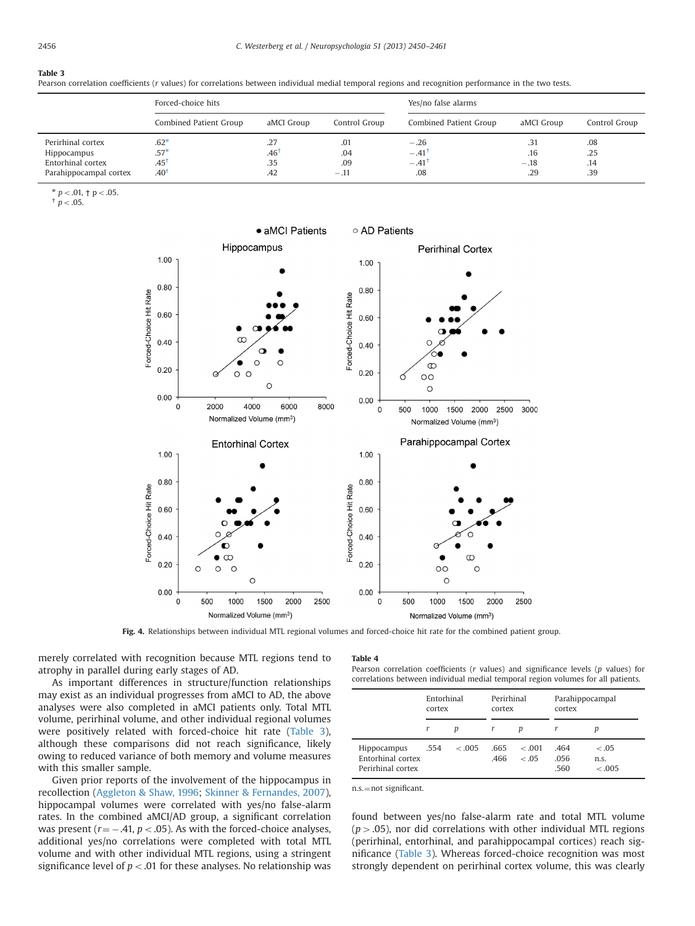#### <span id="page-6-0"></span>Table 3

Pearson correlation coefficients (r values) for correlations between individual medial temporal regions and recognition performance in the two tests.

|                                                                                 | Forced-choice hits                             |                                       |                             | Yes/no false alarms                              |                             |                          |  |
|---------------------------------------------------------------------------------|------------------------------------------------|---------------------------------------|-----------------------------|--------------------------------------------------|-----------------------------|--------------------------|--|
|                                                                                 | Combined Patient Group                         | aMCI Group                            | Control Group               | Combined Patient Group                           | aMCI Group                  | Control Group            |  |
| Perirhinal cortex<br>Hippocampus<br>Entorhinal cortex<br>Parahippocampal cortex | $.62*$<br>.57'<br>$.45^{\dagger}$<br>$.40^{+}$ | .27<br>.46 <sup>†</sup><br>.35<br>.42 | .01<br>.04<br>.09<br>$-.11$ | $-.26$<br>$-.41$ <sup>†</sup><br>$-.41^+$<br>.08 | .31<br>.16<br>$-.18$<br>.29 | .08<br>.25<br>.14<br>.39 |  |

\*  $p < .01$ , †  $p < .05$ .

 $p^+$  p < .05.



Fig. 4. Relationships between individual MTL regional volumes and forced-choice hit rate for the combined patient group.

merely correlated with recognition because MTL regions tend to atrophy in parallel during early stages of AD.

As important differences in structure/function relationships may exist as an individual progresses from aMCI to AD, the above analyses were also completed in aMCI patients only. Total MTL volume, perirhinal volume, and other individual regional volumes were positively related with forced-choice hit rate (Table 3), although these comparisons did not reach significance, likely owing to reduced variance of both memory and volume measures with this smaller sample.

Given prior reports of the involvement of the hippocampus in recollection ([Aggleton](#page-9-0) & [Shaw, 1996](#page-9-0); [Skinner & Fernandes, 2007\)](#page-11-0), hippocampal volumes were correlated with yes/no false-alarm rates. In the combined aMCI/AD group, a significant correlation was present ( $r = -.41$ ,  $p < .05$ ). As with the forced-choice analyses, additional yes/no correlations were completed with total MTL volume and with other individual MTL regions, using a stringent significance level of  $p < .01$  for these analyses. No relationship was

#### Table 4

Pearson correlation coefficients ( $r$  values) and significance levels ( $p$  values) for correlations between individual medial temporal region volumes for all patients.

|                                                              | Entorhinal<br>cortex |         | Perirhinal<br>cortex |                  | cortex               | Parahippocampal           |
|--------------------------------------------------------------|----------------------|---------|----------------------|------------------|----------------------|---------------------------|
|                                                              | r                    | р       | r                    | p                |                      | р                         |
| <b>Hippocampus</b><br>Entorhinal cortex<br>Perirhinal cortex | .554                 | < 0.005 | .665<br>.466         | < 0.01<br>$-.05$ | .464<br>.056<br>.560 | $-.05$<br>n.s.<br>< 0.005 |

n.s.=not significant.

found between yes/no false-alarm rate and total MTL volume  $(p>0.05)$ , nor did correlations with other individual MTL regions (perirhinal, entorhinal, and parahippocampal cortices) reach significance (Table 3). Whereas forced-choice recognition was most strongly dependent on perirhinal cortex volume, this was clearly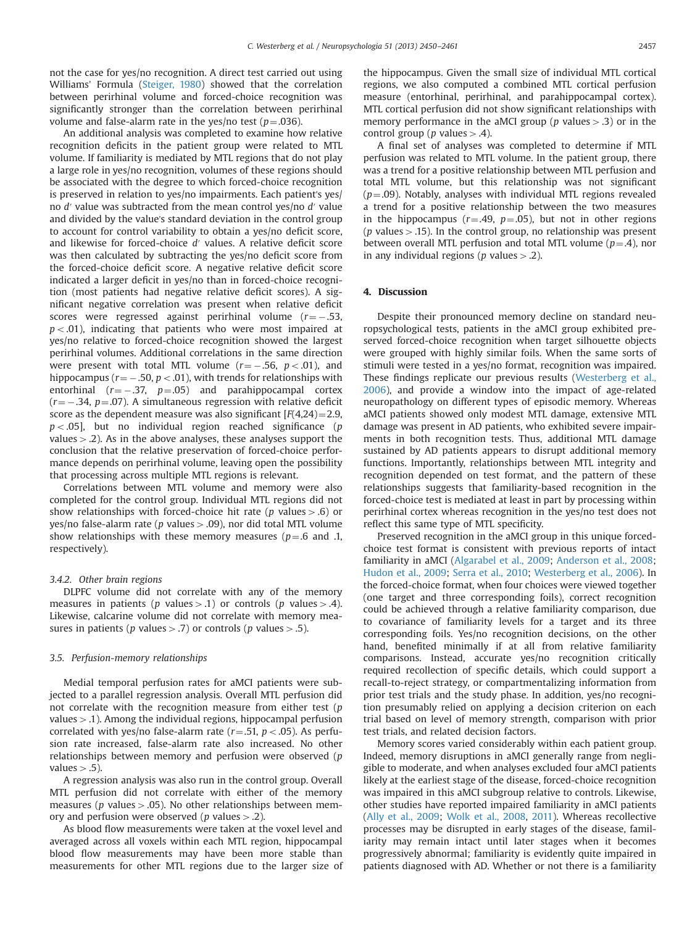not the case for yes/no recognition. A direct test carried out using Williams' Formula [\(Steiger, 1980](#page-11-0)) showed that the correlation between perirhinal volume and forced-choice recognition was significantly stronger than the correlation between perirhinal volume and false-alarm rate in the yes/no test ( $p = .036$ ).

An additional analysis was completed to examine how relative recognition deficits in the patient group were related to MTL volume. If familiarity is mediated by MTL regions that do not play a large role in yes/no recognition, volumes of these regions should be associated with the degree to which forced-choice recognition is preserved in relation to yes/no impairments. Each patient's yes/ no d′ value was subtracted from the mean control yes/no d′ value and divided by the value's standard deviation in the control group to account for control variability to obtain a yes/no deficit score, and likewise for forced-choice d′ values. A relative deficit score was then calculated by subtracting the yes/no deficit score from the forced-choice deficit score. A negative relative deficit score indicated a larger deficit in yes/no than in forced-choice recognition (most patients had negative relative deficit scores). A significant negative correlation was present when relative deficit scores were regressed against perirhinal volume  $(r = -0.53,$  $p < .01$ ), indicating that patients who were most impaired at yes/no relative to forced-choice recognition showed the largest perirhinal volumes. Additional correlations in the same direction were present with total MTL volume  $(r = -.56, p < .01)$ , and hippocampus ( $r = -0.50$ ,  $p < 0.01$ ), with trends for relationships with entorhinal  $(r = -.37, p = .05)$  and parahippocampal cortex  $(r = -.34, p = .07)$ . A simultaneous regression with relative deficit score as the dependent measure was also significant  $[F(4,24)=2.9,$  $p < .05$ ], but no individual region reached significance (p values  $> 0.2$ ). As in the above analyses, these analyses support the conclusion that the relative preservation of forced-choice performance depends on perirhinal volume, leaving open the possibility that processing across multiple MTL regions is relevant.

Correlations between MTL volume and memory were also completed for the control group. Individual MTL regions did not show relationships with forced-choice hit rate (p values  $> .6$ ) or yes/no false-alarm rate (p values  $> .09$ ), nor did total MTL volume show relationships with these memory measures ( $p = .6$  and .1, respectively).

# 3.4.2. Other brain regions

DLPFC volume did not correlate with any of the memory measures in patients (*p* values > .1) or controls (*p* values > .4). Likewise, calcarine volume did not correlate with memory measures in patients (p values > .7) or controls (p values > .5).

# 3.5. Perfusion-memory relationships

Medial temporal perfusion rates for aMCI patients were subjected to a parallel regression analysis. Overall MTL perfusion did not correlate with the recognition measure from either test (p values  $> 0.1$ ). Among the individual regions, hippocampal perfusion correlated with yes/no false-alarm rate ( $r = .51$ ,  $p < .05$ ). As perfusion rate increased, false-alarm rate also increased. No other relationships between memory and perfusion were observed (p values  $> .5$ ).

A regression analysis was also run in the control group. Overall MTL perfusion did not correlate with either of the memory measures ( $p$  values  $> 0.05$ ). No other relationships between memory and perfusion were observed (*p* values  $> 0.2$ ).

As blood flow measurements were taken at the voxel level and averaged across all voxels within each MTL region, hippocampal blood flow measurements may have been more stable than measurements for other MTL regions due to the larger size of the hippocampus. Given the small size of individual MTL cortical regions, we also computed a combined MTL cortical perfusion measure (entorhinal, perirhinal, and parahippocampal cortex). MTL cortical perfusion did not show significant relationships with memory performance in the aMCI group ( $p$  values  $> .3$ ) or in the control group (*p* values  $> .4$ ).

A final set of analyses was completed to determine if MTL perfusion was related to MTL volume. In the patient group, there was a trend for a positive relationship between MTL perfusion and total MTL volume, but this relationship was not significant  $(p=.09)$ . Notably, analyses with individual MTL regions revealed a trend for a positive relationship between the two measures in the hippocampus ( $r = .49$ ,  $p = .05$ ), but not in other regions (*p* values  $>$  .15). In the control group, no relationship was present between overall MTL perfusion and total MTL volume ( $p = .4$ ), nor in any individual regions ( $p$  values  $> 0.2$ ).

# 4. Discussion

Despite their pronounced memory decline on standard neuropsychological tests, patients in the aMCI group exhibited preserved forced-choice recognition when target silhouette objects were grouped with highly similar foils. When the same sorts of stimuli were tested in a yes/no format, recognition was impaired. These findings replicate our previous results [\(Westerberg et al.,](#page-11-0) [2006\)](#page-11-0), and provide a window into the impact of age-related neuropathology on different types of episodic memory. Whereas aMCI patients showed only modest MTL damage, extensive MTL damage was present in AD patients, who exhibited severe impairments in both recognition tests. Thus, additional MTL damage sustained by AD patients appears to disrupt additional memory functions. Importantly, relationships between MTL integrity and recognition depended on test format, and the pattern of these relationships suggests that familiarity-based recognition in the forced-choice test is mediated at least in part by processing within perirhinal cortex whereas recognition in the yes/no test does not reflect this same type of MTL specificity.

Preserved recognition in the aMCI group in this unique forcedchoice test format is consistent with previous reports of intact familiarity in aMCI ([Algarabel et al., 2009](#page-9-0); [Anderson et al., 2008;](#page-9-0) [Hudon et al., 2009;](#page-10-0) [Serra et al., 2010](#page-11-0); [Westerberg et al., 2006](#page-11-0)). In the forced-choice format, when four choices were viewed together (one target and three corresponding foils), correct recognition could be achieved through a relative familiarity comparison, due to covariance of familiarity levels for a target and its three corresponding foils. Yes/no recognition decisions, on the other hand, benefited minimally if at all from relative familiarity comparisons. Instead, accurate yes/no recognition critically required recollection of specific details, which could support a recall-to-reject strategy, or compartmentalizing information from prior test trials and the study phase. In addition, yes/no recognition presumably relied on applying a decision criterion on each trial based on level of memory strength, comparison with prior test trials, and related decision factors.

Memory scores varied considerably within each patient group. Indeed, memory disruptions in aMCI generally range from negligible to moderate, and when analyses excluded four aMCI patients likely at the earliest stage of the disease, forced-choice recognition was impaired in this aMCI subgroup relative to controls. Likewise, other studies have reported impaired familiarity in aMCI patients ([Ally et al., 2009;](#page-9-0) [Wolk et al., 2008,](#page-11-0) [2011\)](#page-11-0). Whereas recollective processes may be disrupted in early stages of the disease, familiarity may remain intact until later stages when it becomes progressively abnormal; familiarity is evidently quite impaired in patients diagnosed with AD. Whether or not there is a familiarity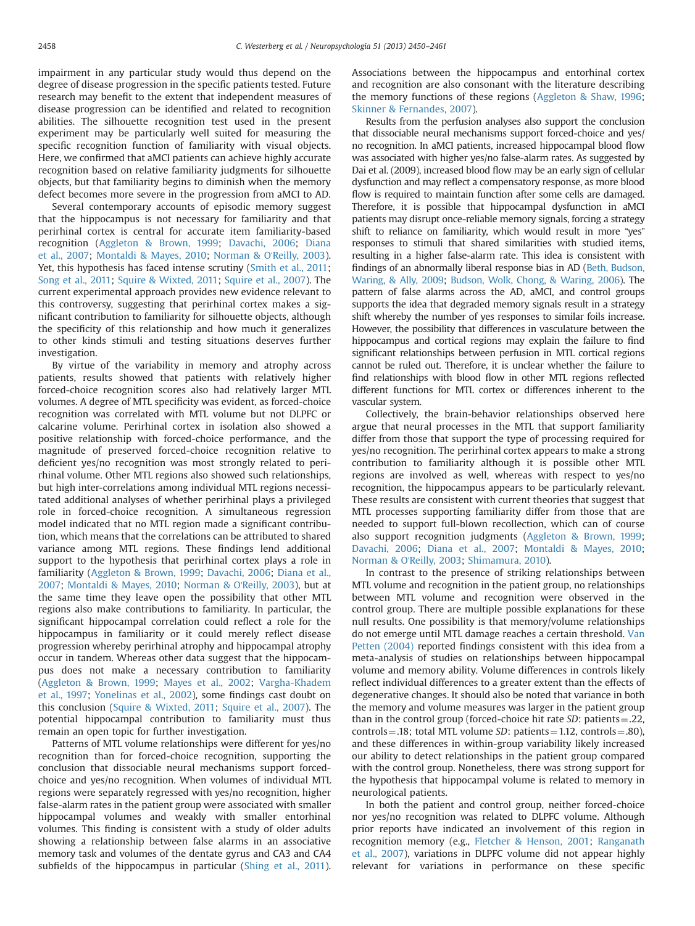impairment in any particular study would thus depend on the degree of disease progression in the specific patients tested. Future research may benefit to the extent that independent measures of disease progression can be identified and related to recognition abilities. The silhouette recognition test used in the present experiment may be particularly well suited for measuring the specific recognition function of familiarity with visual objects. Here, we confirmed that aMCI patients can achieve highly accurate recognition based on relative familiarity judgments for silhouette objects, but that familiarity begins to diminish when the memory defect becomes more severe in the progression from aMCI to AD.

Several contemporary accounts of episodic memory suggest that the hippocampus is not necessary for familiarity and that perirhinal cortex is central for accurate item familiarity-based recognition ([Aggleton & Brown, 1999](#page-9-0); [Davachi, 2006](#page-10-0); [Diana](#page-10-0) [et al., 2007](#page-10-0); [Montaldi](#page-10-0) [& Mayes, 2010;](#page-10-0) [Norman](#page-11-0) & O'[Reilly, 2003\)](#page-11-0). Yet, this hypothesis has faced intense scrutiny ([Smith et al., 2011;](#page-11-0) [Song et al., 2011](#page-11-0); [Squire & Wixted, 2011;](#page-11-0) [Squire et al., 2007](#page-11-0)). The current experimental approach provides new evidence relevant to this controversy, suggesting that perirhinal cortex makes a significant contribution to familiarity for silhouette objects, although the specificity of this relationship and how much it generalizes to other kinds stimuli and testing situations deserves further investigation.

By virtue of the variability in memory and atrophy across patients, results showed that patients with relatively higher forced-choice recognition scores also had relatively larger MTL volumes. A degree of MTL specificity was evident, as forced-choice recognition was correlated with MTL volume but not DLPFC or calcarine volume. Perirhinal cortex in isolation also showed a positive relationship with forced-choice performance, and the magnitude of preserved forced-choice recognition relative to deficient yes/no recognition was most strongly related to perirhinal volume. Other MTL regions also showed such relationships, but high inter-correlations among individual MTL regions necessitated additional analyses of whether perirhinal plays a privileged role in forced-choice recognition. A simultaneous regression model indicated that no MTL region made a significant contribution, which means that the correlations can be attributed to shared variance among MTL regions. These findings lend additional support to the hypothesis that perirhinal cortex plays a role in familiarity [\(Aggleton](#page-9-0) & [Brown, 1999;](#page-9-0) [Davachi, 2006;](#page-10-0) [Diana et al.,](#page-10-0) [2007;](#page-10-0) [Montaldi](#page-10-0) [& Mayes, 2010;](#page-10-0) [Norman &](#page-11-0) O'[Reilly, 2003\)](#page-11-0), but at the same time they leave open the possibility that other MTL regions also make contributions to familiarity. In particular, the significant hippocampal correlation could reflect a role for the hippocampus in familiarity or it could merely reflect disease progression whereby perirhinal atrophy and hippocampal atrophy occur in tandem. Whereas other data suggest that the hippocampus does not make a necessary contribution to familiarity ([Aggleton & Brown, 1999](#page-9-0); [Mayes et al., 2002;](#page-10-0) [Vargha-Khadem](#page-11-0) [et al., 1997;](#page-11-0) [Yonelinas et al., 2002\)](#page-11-0), some findings cast doubt on this conclusion [\(Squire](#page-11-0) [& Wixted, 2011](#page-11-0); [Squire et al., 2007\)](#page-11-0). The potential hippocampal contribution to familiarity must thus remain an open topic for further investigation.

Patterns of MTL volume relationships were different for yes/no recognition than for forced-choice recognition, supporting the conclusion that dissociable neural mechanisms support forcedchoice and yes/no recognition. When volumes of individual MTL regions were separately regressed with yes/no recognition, higher false-alarm rates in the patient group were associated with smaller hippocampal volumes and weakly with smaller entorhinal volumes. This finding is consistent with a study of older adults showing a relationship between false alarms in an associative memory task and volumes of the dentate gyrus and CA3 and CA4 subfields of the hippocampus in particular [\(Shing et al., 2011\)](#page-11-0). Associations between the hippocampus and entorhinal cortex and recognition are also consonant with the literature describing the memory functions of these regions [\(Aggleton](#page-9-0) [& Shaw, 1996;](#page-9-0) [Skinner & Fernandes, 2007\)](#page-11-0).

Results from the perfusion analyses also support the conclusion that dissociable neural mechanisms support forced-choice and yes/ no recognition. In aMCI patients, increased hippocampal blood flow was associated with higher yes/no false-alarm rates. As suggested by Dai et al. (2009), increased blood flow may be an early sign of cellular dysfunction and may reflect a compensatory response, as more blood flow is required to maintain function after some cells are damaged. Therefore, it is possible that hippocampal dysfunction in aMCI patients may disrupt once-reliable memory signals, forcing a strategy shift to reliance on familiarity, which would result in more "yes" responses to stimuli that shared similarities with studied items, resulting in a higher false-alarm rate. This idea is consistent with findings of an abnormally liberal response bias in AD ([Beth, Budson,](#page-9-0) [Waring, & Ally, 2009](#page-9-0); [Budson, Wolk, Chong, & Waring, 2006](#page-10-0)). The pattern of false alarms across the AD, aMCI, and control groups supports the idea that degraded memory signals result in a strategy shift whereby the number of yes responses to similar foils increase. However, the possibility that differences in vasculature between the hippocampus and cortical regions may explain the failure to find significant relationships between perfusion in MTL cortical regions cannot be ruled out. Therefore, it is unclear whether the failure to find relationships with blood flow in other MTL regions reflected different functions for MTL cortex or differences inherent to the vascular system.

Collectively, the brain-behavior relationships observed here argue that neural processes in the MTL that support familiarity differ from those that support the type of processing required for yes/no recognition. The perirhinal cortex appears to make a strong contribution to familiarity although it is possible other MTL regions are involved as well, whereas with respect to yes/no recognition, the hippocampus appears to be particularly relevant. These results are consistent with current theories that suggest that MTL processes supporting familiarity differ from those that are needed to support full-blown recollection, which can of course also support recognition judgments ([Aggleton](#page-9-0) & [Brown, 1999;](#page-9-0) [Davachi, 2006](#page-10-0); [Diana et al., 2007](#page-10-0); [Montaldi](#page-10-0) & [Mayes, 2010;](#page-10-0) [Norman](#page-11-0) & O'[Reilly, 2003;](#page-11-0) [Shimamura, 2010\)](#page-11-0).

In contrast to the presence of striking relationships between MTL volume and recognition in the patient group, no relationships between MTL volume and recognition were observed in the control group. There are multiple possible explanations for these null results. One possibility is that memory/volume relationships do not emerge until MTL damage reaches a certain threshold. [Van](#page-11-0) [Petten \(2004\)](#page-11-0) reported findings consistent with this idea from a meta-analysis of studies on relationships between hippocampal volume and memory ability. Volume differences in controls likely reflect individual differences to a greater extent than the effects of degenerative changes. It should also be noted that variance in both the memory and volume measures was larger in the patient group than in the control group (forced-choice hit rate  $SD$ : patients = .22, controls =  $.18$ ; total MTL volume SD: patients =  $1.12$ , controls =  $.80$ ), and these differences in within-group variability likely increased our ability to detect relationships in the patient group compared with the control group. Nonetheless, there was strong support for the hypothesis that hippocampal volume is related to memory in neurological patients.

In both the patient and control group, neither forced-choice nor yes/no recognition was related to DLPFC volume. Although prior reports have indicated an involvement of this region in recognition memory (e.g., [Fletcher & Henson, 2001](#page-10-0); [Ranganath](#page-11-0) [et al., 2007](#page-11-0)), variations in DLPFC volume did not appear highly relevant for variations in performance on these specific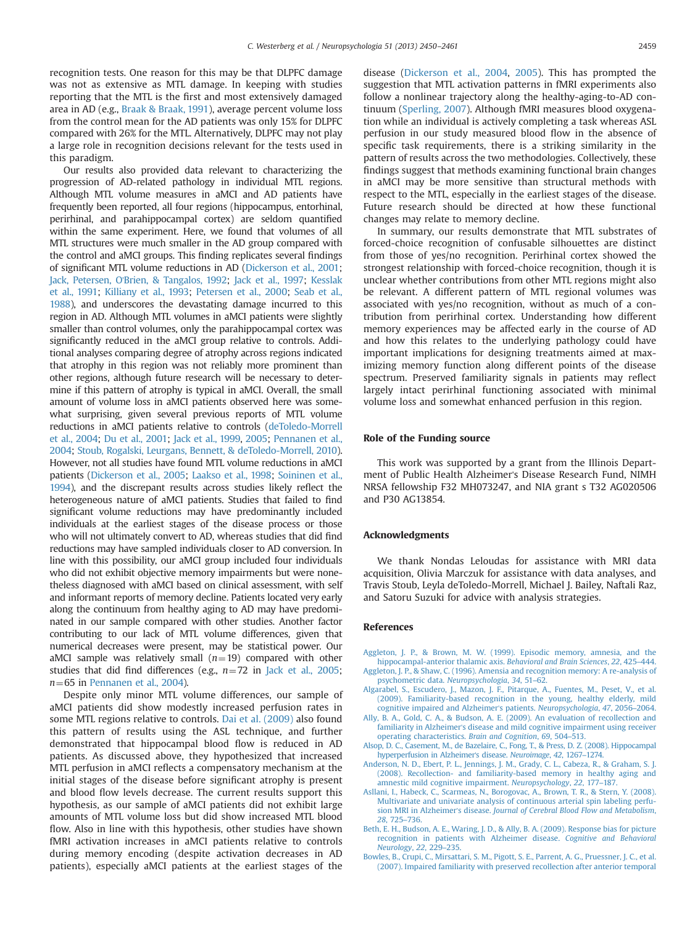<span id="page-9-0"></span>recognition tests. One reason for this may be that DLPFC damage was not as extensive as MTL damage. In keeping with studies reporting that the MTL is the first and most extensively damaged area in AD (e.g., [Braak & Braak, 1991\)](#page-10-0), average percent volume loss from the control mean for the AD patients was only 15% for DLPFC compared with 26% for the MTL. Alternatively, DLPFC may not play a large role in recognition decisions relevant for the tests used in this paradigm.

Our results also provided data relevant to characterizing the progression of AD-related pathology in individual MTL regions. Although MTL volume measures in aMCI and AD patients have frequently been reported, all four regions (hippocampus, entorhinal, perirhinal, and parahippocampal cortex) are seldom quantified within the same experiment. Here, we found that volumes of all MTL structures were much smaller in the AD group compared with the control and aMCI groups. This finding replicates several findings of significant MTL volume reductions in AD ([Dickerson et al., 2001;](#page-10-0) [Jack, Petersen, O](#page-10-0)'Brien, & [Tangalos, 1992](#page-10-0); [Jack et al., 1997](#page-10-0); [Kesslak](#page-10-0) [et al., 1991;](#page-10-0) [Killiany et al., 1993;](#page-10-0) [Petersen et al., 2000](#page-11-0); [Seab et al.,](#page-11-0) [1988](#page-11-0)), and underscores the devastating damage incurred to this region in AD. Although MTL volumes in aMCI patients were slightly smaller than control volumes, only the parahippocampal cortex was significantly reduced in the aMCI group relative to controls. Additional analyses comparing degree of atrophy across regions indicated that atrophy in this region was not reliably more prominent than other regions, although future research will be necessary to determine if this pattern of atrophy is typical in aMCI. Overall, the small amount of volume loss in aMCI patients observed here was somewhat surprising, given several previous reports of MTL volume reductions in aMCI patients relative to controls [\(deToledo-Morrell](#page-10-0) [et al., 2004;](#page-10-0) [Du et al., 2001](#page-10-0); [Jack et al., 1999,](#page-10-0) [2005](#page-10-0); [Pennanen et al.,](#page-11-0) [2004](#page-11-0); [Stoub, Rogalski, Leurgans, Bennett, & deToledo-Morrell, 2010\)](#page-11-0). However, not all studies have found MTL volume reductions in aMCI patients ([Dickerson et al., 2005;](#page-10-0) [Laakso et al., 1998;](#page-10-0) [Soininen et al.,](#page-11-0) [1994](#page-11-0)), and the discrepant results across studies likely reflect the heterogeneous nature of aMCI patients. Studies that failed to find significant volume reductions may have predominantly included individuals at the earliest stages of the disease process or those who will not ultimately convert to AD, whereas studies that did find reductions may have sampled individuals closer to AD conversion. In line with this possibility, our aMCI group included four individuals who did not exhibit objective memory impairments but were nonetheless diagnosed with aMCI based on clinical assessment, with self and informant reports of memory decline. Patients located very early along the continuum from healthy aging to AD may have predominated in our sample compared with other studies. Another factor contributing to our lack of MTL volume differences, given that numerical decreases were present, may be statistical power. Our aMCI sample was relatively small  $(n=19)$  compared with other studies that did find differences (e.g.,  $n=72$  in [Jack et al., 2005;](#page-10-0)  $n=65$  in [Pennanen et al., 2004](#page-11-0)).

Despite only minor MTL volume differences, our sample of aMCI patients did show modestly increased perfusion rates in some MTL regions relative to controls. [Dai et al. \(2009\)](#page-10-0) also found this pattern of results using the ASL technique, and further demonstrated that hippocampal blood flow is reduced in AD patients. As discussed above, they hypothesized that increased MTL perfusion in aMCI reflects a compensatory mechanism at the initial stages of the disease before significant atrophy is present and blood flow levels decrease. The current results support this hypothesis, as our sample of aMCI patients did not exhibit large amounts of MTL volume loss but did show increased MTL blood flow. Also in line with this hypothesis, other studies have shown fMRI activation increases in aMCI patients relative to controls during memory encoding (despite activation decreases in AD patients), especially aMCI patients at the earliest stages of the

disease ([Dickerson et al., 2004](#page-10-0), [2005\)](#page-10-0). This has prompted the suggestion that MTL activation patterns in fMRI experiments also follow a nonlinear trajectory along the healthy-aging-to-AD continuum ([Sperling, 2007\)](#page-11-0). Although fMRI measures blood oxygenation while an individual is actively completing a task whereas ASL perfusion in our study measured blood flow in the absence of specific task requirements, there is a striking similarity in the pattern of results across the two methodologies. Collectively, these findings suggest that methods examining functional brain changes in aMCI may be more sensitive than structural methods with respect to the MTL, especially in the earliest stages of the disease. Future research should be directed at how these functional changes may relate to memory decline.

In summary, our results demonstrate that MTL substrates of forced-choice recognition of confusable silhouettes are distinct from those of yes/no recognition. Perirhinal cortex showed the strongest relationship with forced-choice recognition, though it is unclear whether contributions from other MTL regions might also be relevant. A different pattern of MTL regional volumes was associated with yes/no recognition, without as much of a contribution from perirhinal cortex. Understanding how different memory experiences may be affected early in the course of AD and how this relates to the underlying pathology could have important implications for designing treatments aimed at maximizing memory function along different points of the disease spectrum. Preserved familiarity signals in patients may reflect largely intact perirhinal functioning associated with minimal volume loss and somewhat enhanced perfusion in this region.

# Role of the Funding source

This work was supported by a grant from the Illinois Department of Public Health Alzheimer's Disease Research Fund, NIMH NRSA fellowship F32 MH073247, and NIA grant s T32 AG020506 and P30 AG13854.

## Acknowledgments

We thank Nondas Leloudas for assistance with MRI data acquisition, Olivia Marczuk for assistance with data analyses, and Travis Stoub, Leyla deToledo-Morrell, Michael J. Bailey, Naftali Raz, and Satoru Suzuki for advice with analysis strategies.

## References

[Aggleton, J. P., & Brown, M. W. \(1999\). Episodic memory, amnesia, and the](http://refhub.elsevier.com/S0028-3932(13)00214-5/sbref1) [hippocampal-anterior thalamic axis.](http://refhub.elsevier.com/S0028-3932(13)00214-5/sbref1) Behavioral and Brain Sciences, 22, 425–444. [Aggleton, J. P., & Shaw, C. \(1996\). Amensia and recognition memory: A re-analysis of](http://refhub.elsevier.com/S0028-3932(13)00214-5/sbref2) [psychometric data.](http://refhub.elsevier.com/S0028-3932(13)00214-5/sbref2) Neuropsychologia, 34, 51–62.

- [Algarabel, S., Escudero, J., Mazon, J. F., Pitarque, A., Fuentes, M., Peset, V., et al.](http://refhub.elsevier.com/S0028-3932(13)00214-5/sbref3) [\(2009\). Familiarity-based recognition in the young, healthy elderly, mild](http://refhub.elsevier.com/S0028-3932(13)00214-5/sbref3) [cognitive impaired and Alzheimer](http://refhub.elsevier.com/S0028-3932(13)00214-5/sbref3)'s patients. Neuropsychologia, 47, 2056–2064.
- [Ally, B. A., Gold, C. A., & Budson, A. E. \(2009\). An evaluation of recollection and](http://refhub.elsevier.com/S0028-3932(13)00214-5/sbref4) familiarity in Alzheimer'[s disease and mild cognitive impairment using receiver](http://refhub.elsevier.com/S0028-3932(13)00214-5/sbref4) [operating characteristics.](http://refhub.elsevier.com/S0028-3932(13)00214-5/sbref4) Brain and Cognition, 69, 504–513.
- [Alsop, D. C., Casement, M., de Bazelaire, C., Fong, T., & Press, D. Z. \(2008\). Hippocampal](http://refhub.elsevier.com/S0028-3932(13)00214-5/sbref5) [hyperperfusion in Alzheimer](http://refhub.elsevier.com/S0028-3932(13)00214-5/sbref5)'s disease. Neuroimage, 42, 1267–1274.
- [Anderson, N. D., Ebert, P. L., Jennings, J. M., Grady, C. L., Cabeza, R., & Graham, S. J.](http://refhub.elsevier.com/S0028-3932(13)00214-5/sbref6) [\(2008\). Recollection- and familiarity-based memory in healthy aging and](http://refhub.elsevier.com/S0028-3932(13)00214-5/sbref6) [amnestic mild cognitive impairment.](http://refhub.elsevier.com/S0028-3932(13)00214-5/sbref6) Neuropsychology, 22, 177–187.
- [Asllani, I., Habeck, C., Scarmeas, N., Borogovac, A., Brown, T. R., & Stern, Y. \(2008\).](http://refhub.elsevier.com/S0028-3932(13)00214-5/sbref7) [Multivariate and univariate analysis of continuous arterial spin labeling perfu](http://refhub.elsevier.com/S0028-3932(13)00214-5/sbref7)sion MRI in Alzheimer's disease. [Journal of Cerebral Blood Flow and Metabolism](http://refhub.elsevier.com/S0028-3932(13)00214-5/sbref7), 28[, 725](http://refhub.elsevier.com/S0028-3932(13)00214-5/sbref7)–736.
- [Beth, E. H., Budson, A. E., Waring, J. D., & Ally, B. A. \(2009\). Response bias for picture](http://refhub.elsevier.com/S0028-3932(13)00214-5/sbref8) [recognition in patients with Alzheimer disease.](http://refhub.elsevier.com/S0028-3932(13)00214-5/sbref8) Cognitive and Behavioral [Neurology](http://refhub.elsevier.com/S0028-3932(13)00214-5/sbref8), 22, 229–235.
- [Bowles, B., Crupi, C., Mirsattari, S. M., Pigott, S. E., Parrent, A. G., Pruessner, J. C., et al.](http://refhub.elsevier.com/S0028-3932(13)00214-5/sbref9) [\(2007\). Impaired familiarity with preserved recollection after anterior temporal](http://refhub.elsevier.com/S0028-3932(13)00214-5/sbref9)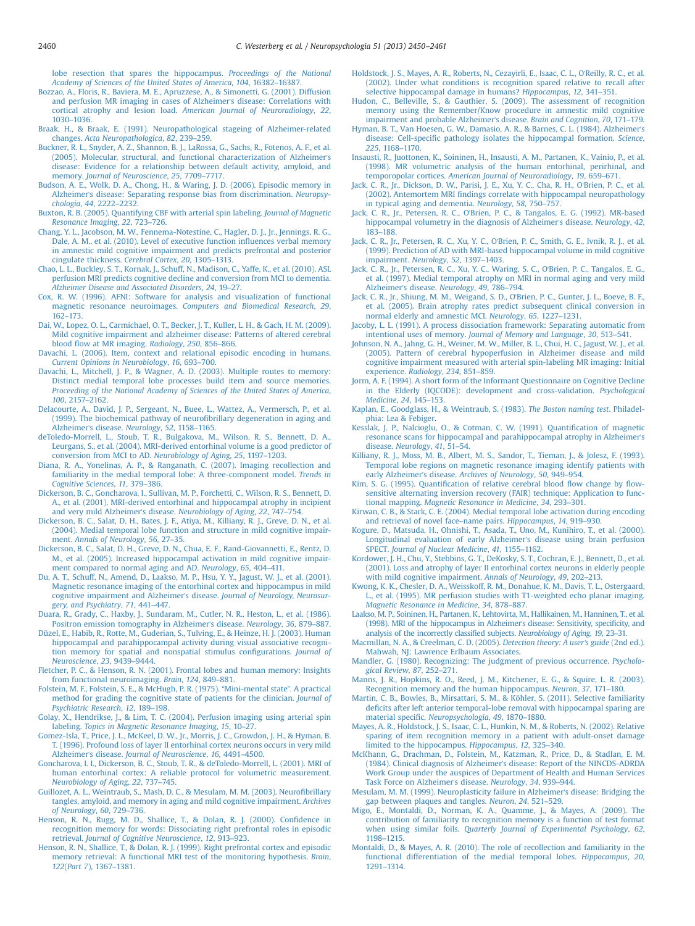<span id="page-10-0"></span>[lobe resection that spares the hippocampus.](http://refhub.elsevier.com/S0028-3932(13)00214-5/sbref9) Proceedings of the National [Academy of Sciences of the United States of America](http://refhub.elsevier.com/S0028-3932(13)00214-5/sbref9), 104, 16382–16387.

- [Bozzao, A., Floris, R., Baviera, M. E., Apruzzese, A., & Simonetti, G. \(2001\). Diffusion](http://refhub.elsevier.com/S0028-3932(13)00214-5/sbref10) [and perfusion MR imaging in cases of Alzheimer](http://refhub.elsevier.com/S0028-3932(13)00214-5/sbref10)'s disease: Correlations with cortical atrophy and lesion load. [American Journal of Neuroradiology](http://refhub.elsevier.com/S0028-3932(13)00214-5/sbref10), 22, 1030–[1036.](http://refhub.elsevier.com/S0028-3932(13)00214-5/sbref10)
- [Braak, H., & Braak, E. \(1991\). Neuropathological stageing of Alzheimer-related](http://refhub.elsevier.com/S0028-3932(13)00214-5/sbref11) changes. [Acta Neuropathologica](http://refhub.elsevier.com/S0028-3932(13)00214-5/sbref11), 82, 239–259.
- [Buckner, R. L., Snyder, A. Z., Shannon, B. J., LaRossa, G., Sachs, R., Fotenos, A. F., et al.](http://refhub.elsevier.com/S0028-3932(13)00214-5/sbref12) [\(2005\). Molecular, structural, and functional characterization of Alzheimer](http://refhub.elsevier.com/S0028-3932(13)00214-5/sbref12)'s [disease: Evidence for a relationship between default activity, amyloid, and](http://refhub.elsevier.com/S0028-3932(13)00214-5/sbref12) memory. [Journal of Neuroscience](http://refhub.elsevier.com/S0028-3932(13)00214-5/sbref12), 25, 7709–7717.
- [Budson, A. E., Wolk, D. A., Chong, H., & Waring, J. D. \(2006\). Episodic memory in](http://refhub.elsevier.com/S0028-3932(13)00214-5/sbref13) Alzheimer'[s disease: Separating response bias from discrimination.](http://refhub.elsevier.com/S0028-3932(13)00214-5/sbref13) Neuropsy[chologia](http://refhub.elsevier.com/S0028-3932(13)00214-5/sbref13), 44, 2222–2232.
- [Buxton, R. B. \(2005\). Quantifying CBF with arterial spin labeling.](http://refhub.elsevier.com/S0028-3932(13)00214-5/sbref14) Journal of Magnetic [Resonance Imaging](http://refhub.elsevier.com/S0028-3932(13)00214-5/sbref14), 22, 723–726.
- [Chang, Y. L., Jacobson, M. W., Fennema-Notestine, C., Hagler, D. J., Jr., Jennings, R. G.,](http://refhub.elsevier.com/S0028-3932(13)00214-5/sbref15) [Dale, A. M., et al. \(2010\). Level of executive function in](http://refhub.elsevier.com/S0028-3932(13)00214-5/sbref15)fluences verbal memory [in amnestic mild cognitive impairment and predicts prefrontal and posterior](http://refhub.elsevier.com/S0028-3932(13)00214-5/sbref15) [cingulate thickness.](http://refhub.elsevier.com/S0028-3932(13)00214-5/sbref15) Cerebral Cortex, 20, 1305–1313.
- [Chao, L. L., Buckley, S. T., Kornak, J., Schuff, N., Madison, C., Yaffe, K., et al. \(2010\). ASL](http://refhub.elsevier.com/S0028-3932(13)00214-5/sbref16) [perfusion MRI predicts cognitive decline and conversion from MCI to dementia.](http://refhub.elsevier.com/S0028-3932(13)00214-5/sbref16) [Alzheimer Disease and Associated Disorders](http://refhub.elsevier.com/S0028-3932(13)00214-5/sbref16), 24, 19–27.
- [Cox, R. W. \(1996\). AFNI: Software for analysis and visualization of functional](http://refhub.elsevier.com/S0028-3932(13)00214-5/sbref17) magnetic resonance neuroimages. [Computers and Biomedical Research](http://refhub.elsevier.com/S0028-3932(13)00214-5/sbref17), 29, 162–[173.](http://refhub.elsevier.com/S0028-3932(13)00214-5/sbref17)
- [Dai, W., Lopez, O. L., Carmichael, O. T., Becker, J. T., Kuller, L. H., & Gach, H. M. \(2009\).](http://refhub.elsevier.com/S0028-3932(13)00214-5/sbref18) [Mild cognitive impairment and alzheimer disease: Patterns of altered cerebral](http://refhub.elsevier.com/S0028-3932(13)00214-5/sbref18) blood fl[ow at MR imaging.](http://refhub.elsevier.com/S0028-3932(13)00214-5/sbref18) Radiology, 250, 856–866.
- [Davachi, L. \(2006\). Item, context and relational episodic encoding in humans.](http://refhub.elsevier.com/S0028-3932(13)00214-5/sbref19) [Current Opinions in Neurobiology](http://refhub.elsevier.com/S0028-3932(13)00214-5/sbref19), 16, 693–700.
- [Davachi, L., Mitchell, J. P., & Wagner, A. D. \(2003\). Multiple routes to memory:](http://refhub.elsevier.com/S0028-3932(13)00214-5/sbref20) [Distinct medial temporal lobe processes build item and source memories.](http://refhub.elsevier.com/S0028-3932(13)00214-5/sbref20) [Proceeding of the National Academy of Sciences of the United States of America](http://refhub.elsevier.com/S0028-3932(13)00214-5/sbref20), 100[, 2157](http://refhub.elsevier.com/S0028-3932(13)00214-5/sbref20)–2162.
- [Delacourte, A., David, J. P., Sergeant, N., Buee, L., Wattez, A., Vermersch, P., et al.](http://refhub.elsevier.com/S0028-3932(13)00214-5/sbref21) [\(1999\). The biochemical pathway of neuro](http://refhub.elsevier.com/S0028-3932(13)00214-5/sbref21)fibrillary degeneration in aging and [Alzheimer](http://refhub.elsevier.com/S0028-3932(13)00214-5/sbref21)'s disease. Neurology, 52, 1158–1165.
- [deToledo-Morrell, L., Stoub, T. R., Bulgakova, M., Wilson, R. S., Bennett, D. A.,](http://refhub.elsevier.com/S0028-3932(13)00214-5/sbref22) [Leurgans, S., et al. \(2004\). MRI-derived entorhinal volume is a good predictor of](http://refhub.elsevier.com/S0028-3932(13)00214-5/sbref22) [conversion from MCI to AD.](http://refhub.elsevier.com/S0028-3932(13)00214-5/sbref22) Neurobiology of Aging, 25, 1197–1203.
- [Diana, R. A., Yonelinas, A. P., & Ranganath, C. \(2007\). Imaging recollection and](http://refhub.elsevier.com/S0028-3932(13)00214-5/sbref23) [familiarity in the medial temporal lobe: A three-component model.](http://refhub.elsevier.com/S0028-3932(13)00214-5/sbref23) Trends in [Cognitive Sciences](http://refhub.elsevier.com/S0028-3932(13)00214-5/sbref23), 11, 379–386.
- [Dickerson, B. C., Goncharova, I., Sullivan, M. P., Forchetti, C., Wilson, R. S., Bennett, D.](http://refhub.elsevier.com/S0028-3932(13)00214-5/sbref24) [A., et al. \(2001\). MRI-derived entorhinal and hippocampal atrophy in incipient](http://refhub.elsevier.com/S0028-3932(13)00214-5/sbref24) [and very mild Alzheimer](http://refhub.elsevier.com/S0028-3932(13)00214-5/sbref24)'s disease. Neurobiology of Aging, 22, 747–754.
- [Dickerson, B. C., Salat, D. H., Bates, J. F., Atiya, M., Killiany, R. J., Greve, D. N., et al.](http://refhub.elsevier.com/S0028-3932(13)00214-5/sbref25) [\(2004\). Medial temporal lobe function and structure in mild cognitive impair](http://refhub.elsevier.com/S0028-3932(13)00214-5/sbref25)ment. [Annals of Neurology](http://refhub.elsevier.com/S0028-3932(13)00214-5/sbref25), 56, 27–35.
- [Dickerson, B. C., Salat, D. H., Greve, D. N., Chua, E. F., Rand-Giovannetti, E., Rentz, D.](http://refhub.elsevier.com/S0028-3932(13)00214-5/sbref26) [M., et al. \(2005\). Increased hippocampal activation in mild cognitive impair](http://refhub.elsevier.com/S0028-3932(13)00214-5/sbref26)[ment compared to normal aging and AD.](http://refhub.elsevier.com/S0028-3932(13)00214-5/sbref26) Neurology, 65, 404–411.
- [Du, A. T., Schuff, N., Amend, D., Laakso, M. P., Hsu, Y. Y., Jagust, W. J., et al. \(2001\).](http://refhub.elsevier.com/S0028-3932(13)00214-5/sbref27) [Magnetic resonance imaging of the entorhinal cortex and hippocampus in mild](http://refhub.elsevier.com/S0028-3932(13)00214-5/sbref27) [cognitive impairment and Alzheimer](http://refhub.elsevier.com/S0028-3932(13)00214-5/sbref27)'s disease. Journal of Neurology, Neurosur[gery, and Psychiatry](http://refhub.elsevier.com/S0028-3932(13)00214-5/sbref27), 71, 441–447.
- [Duara, R., Grady, C., Haxby, J., Sundaram, M., Cutler, N. R., Heston, L., et al. \(1986\).](http://refhub.elsevier.com/S0028-3932(13)00214-5/sbref28) [Positron emission tomography in Alzheimer](http://refhub.elsevier.com/S0028-3932(13)00214-5/sbref28)'s disease. Neurology, 36, 879–887.
- [Düzel, E., Habib, R., Rotte, M., Guderian, S., Tulving, E., & Heinze, H. J. \(2003\). Human](http://refhub.elsevier.com/S0028-3932(13)00214-5/sbref29) [hippocampal and parahippocampal activity during visual associative recogni](http://refhub.elsevier.com/S0028-3932(13)00214-5/sbref29)[tion memory for spatial and nonspatial stimulus con](http://refhub.elsevier.com/S0028-3932(13)00214-5/sbref29)figurations. Journal of [Neuroscience](http://refhub.elsevier.com/S0028-3932(13)00214-5/sbref29), 23, 9439–9444.
- [Fletcher, P. C., & Henson, R. N. \(2001\). Frontal lobes and human memory: Insights](http://refhub.elsevier.com/S0028-3932(13)00214-5/sbref30) [from functional neuroimaging.](http://refhub.elsevier.com/S0028-3932(13)00214-5/sbref30) Brain, 124, 849–881.
- [Folstein, M. F., Folstein, S. E., & McHugh, P. R. \(1975\).](http://refhub.elsevier.com/S0028-3932(13)00214-5/sbref31) "Mini-mental state". A practical [method for grading the cognitive state of patients for the clinician.](http://refhub.elsevier.com/S0028-3932(13)00214-5/sbref31) Journal of [Psychiatric Research](http://refhub.elsevier.com/S0028-3932(13)00214-5/sbref31), 12, 189–198.
- [Golay, X., Hendrikse, J., & Lim, T. C. \(2004\). Perfusion imaging using arterial spin](http://refhub.elsevier.com/S0028-3932(13)00214-5/sbref32) labeling. [Topics in Magnetic Resonance Imaging](http://refhub.elsevier.com/S0028-3932(13)00214-5/sbref32), 15, 10–27.
- [Gomez-Isla, T., Price, J. L., McKeel, D. W., Jr., Morris, J. C., Growdon, J. H., & Hyman, B.](http://refhub.elsevier.com/S0028-3932(13)00214-5/sbref33) [T. \(1996\). Profound loss of layer II entorhinal cortex neurons occurs in very mild](http://refhub.elsevier.com/S0028-3932(13)00214-5/sbref33) Alzheimer's disease. [Journal of Neuroscience](http://refhub.elsevier.com/S0028-3932(13)00214-5/sbref33), 16, 4491–4500.
- [Goncharova, I. I., Dickerson, B. C., Stoub, T. R., & deToledo-Morrell, L. \(2001\). MRI of](http://refhub.elsevier.com/S0028-3932(13)00214-5/sbref34) [human entorhinal cortex: A reliable protocol for volumetric measurement.](http://refhub.elsevier.com/S0028-3932(13)00214-5/sbref34) [Neurobiology of Aging](http://refhub.elsevier.com/S0028-3932(13)00214-5/sbref34), 22, 737–745.
- [Guillozet, A. L., Weintraub, S., Mash, D. C., & Mesulam, M. M. \(2003\). Neuro](http://refhub.elsevier.com/S0028-3932(13)00214-5/sbref35)fibrillary [tangles, amyloid, and memory in aging and mild cognitive impairment.](http://refhub.elsevier.com/S0028-3932(13)00214-5/sbref35) Archives [of Neurology](http://refhub.elsevier.com/S0028-3932(13)00214-5/sbref35), 60, 729–736.
- [Henson, R. N., Rugg, M. D., Shallice, T., & Dolan, R. J. \(2000\). Con](http://refhub.elsevier.com/S0028-3932(13)00214-5/sbref36)fidence in [recognition memory for words: Dissociating right prefrontal roles in episodic](http://refhub.elsevier.com/S0028-3932(13)00214-5/sbref36) retrieval. [Journal of Cognitive Neuroscience](http://refhub.elsevier.com/S0028-3932(13)00214-5/sbref36), 12, 913–923.
- [Henson, R. N., Shallice, T., & Dolan, R. J. \(1999\). Right prefrontal cortex and episodic](http://refhub.elsevier.com/S0028-3932(13)00214-5/sbref37) [memory retrieval: A functional MRI test of the monitoring hypothesis.](http://refhub.elsevier.com/S0028-3932(13)00214-5/sbref37) Brain, 122(Part 7[\), 1367](http://refhub.elsevier.com/S0028-3932(13)00214-5/sbref37)–1381.
- [Holdstock, J. S., Mayes, A. R., Roberts, N., Cezayirli, E., Isaac, C. L., O](http://refhub.elsevier.com/S0028-3932(13)00214-5/sbref38)'Reilly, R. C., et al. [\(2002\). Under what conditions is recognition spared relative to recall after](http://refhub.elsevier.com/S0028-3932(13)00214-5/sbref38) [selective hippocampal damage in humans?](http://refhub.elsevier.com/S0028-3932(13)00214-5/sbref38) Hippocampus, 12, 341–351.
- [Hudon, C., Belleville, S., & Gauthier, S. \(2009\). The assessment of recognition](http://refhub.elsevier.com/S0028-3932(13)00214-5/sbref39) [memory using the Remember/Know procedure in amnestic mild cognitive](http://refhub.elsevier.com/S0028-3932(13)00214-5/sbref39) [impairment and probable Alzheimer](http://refhub.elsevier.com/S0028-3932(13)00214-5/sbref39)'s disease. Brain and Cognition, 70, 171–179.
- [Hyman, B. T., Van Hoesen, G. W., Damasio, A. R., & Barnes, C. L. \(1984\). Alzheimer](http://refhub.elsevier.com/S0028-3932(13)00214-5/sbref40)'s disease: Cell-specifi[c pathology isolates the hippocampal formation.](http://refhub.elsevier.com/S0028-3932(13)00214-5/sbref40) Science, 225[, 1168](http://refhub.elsevier.com/S0028-3932(13)00214-5/sbref40)–1170.
- [Insausti, R., Juottonen, K., Soininen, H., Insausti, A. M., Partanen, K., Vainio, P., et al.](http://refhub.elsevier.com/S0028-3932(13)00214-5/sbref41) [\(1998\). MR volumetric analysis of the human entorhinal, perirhinal, and](http://refhub.elsevier.com/S0028-3932(13)00214-5/sbref41) temporopolar cortices. [American Journal of Neuroradiology](http://refhub.elsevier.com/S0028-3932(13)00214-5/sbref41), 19, 659–671.
- [Jack, C. R., Jr., Dickson, D. W., Parisi, J. E., Xu, Y. C., Cha, R. H., O](http://refhub.elsevier.com/S0028-3932(13)00214-5/sbref42)'Brien, P. C., et al. (2002). Antemortem MRI fi[ndings correlate with hippocampal neuropathology](http://refhub.elsevier.com/S0028-3932(13)00214-5/sbref42) [in typical aging and dementia.](http://refhub.elsevier.com/S0028-3932(13)00214-5/sbref42) Neurology, 58, 750–757.
- Jack, C. R., Jr., Petersen, R. C., O'[Brien, P. C., & Tangalos, E. G. \(1992\). MR-based](http://refhub.elsevier.com/S0028-3932(13)00214-5/sbref43) [hippocampal volumetry in the diagnosis of Alzheimer](http://refhub.elsevier.com/S0028-3932(13)00214-5/sbref43)'s disease. Neurology, 42, 183–[188.](http://refhub.elsevier.com/S0028-3932(13)00214-5/sbref43)
- Jack, C. R., Jr., Petersen, R. C., Xu, Y. C., O'[Brien, P. C., Smith, G. E., Ivnik, R. J., et al.](http://refhub.elsevier.com/S0028-3932(13)00214-5/sbref44) [\(1999\). Prediction of AD with MRI-based hippocampal volume in mild cognitive](http://refhub.elsevier.com/S0028-3932(13)00214-5/sbref44) [impairment.](http://refhub.elsevier.com/S0028-3932(13)00214-5/sbref44) Neurology, 52, 1397–1403.
- [Jack, C. R., Jr., Petersen, R. C., Xu, Y. C., Waring, S. C., O](http://refhub.elsevier.com/S0028-3932(13)00214-5/sbref45)'Brien, P. C., Tangalos, E. G., [et al. \(1997\). Medial temporal atrophy on MRI in normal aging and very mild](http://refhub.elsevier.com/S0028-3932(13)00214-5/sbref45) [Alzheimer](http://refhub.elsevier.com/S0028-3932(13)00214-5/sbref45)'s disease. Neurology, 49, 786–794.
- [Jack, C. R., Jr., Shiung, M. M., Weigand, S. D., O](http://refhub.elsevier.com/S0028-3932(13)00214-5/sbref46)'Brien, P. C., Gunter, J. L., Boeve, B. F., [et al. \(2005\). Brain atrophy rates predict subsequent clinical conversion in](http://refhub.elsevier.com/S0028-3932(13)00214-5/sbref46) [normal elderly and amnestic MCI.](http://refhub.elsevier.com/S0028-3932(13)00214-5/sbref46) Neurology, 65, 1227–1231.
- [Jacoby, L. L. \(1991\). A process dissociation framework: Separating automatic from](http://refhub.elsevier.com/S0028-3932(13)00214-5/sbref47) intentional uses of memory. [Journal of Memory and Language](http://refhub.elsevier.com/S0028-3932(13)00214-5/sbref47), 30, 513–541. [Johnson, N. A., Jahng, G. H., Weiner, M. W., Miller, B. L., Chui, H. C., Jagust, W. J., et al.](http://refhub.elsevier.com/S0028-3932(13)00214-5/sbref48)
- [\(2005\). Pattern of cerebral hypoperfusion in Alzheimer disease and mild](http://refhub.elsevier.com/S0028-3932(13)00214-5/sbref48) [cognitive impairment measured with arterial spin-labeling MR imaging: Initial](http://refhub.elsevier.com/S0028-3932(13)00214-5/sbref48) [experience.](http://refhub.elsevier.com/S0028-3932(13)00214-5/sbref48) Radiology, 234, 851–859.
- [Jorm, A. F. \(1994\). A short form of the Informant Questionnaire on Cognitive Decline](http://refhub.elsevier.com/S0028-3932(13)00214-5/sbref49) [in the Elderly \(IQCODE\): development and cross-validation.](http://refhub.elsevier.com/S0028-3932(13)00214-5/sbref49) Psychological [Medicine](http://refhub.elsevier.com/S0028-3932(13)00214-5/sbref49), 24, 145–153.
- [Kaplan, E., Goodglass, H., & Weintraub, S. \(1983\).](http://refhub.elsevier.com/S0028-3932(13)00214-5/sbref50) The Boston naming test. Philadel[phia: Lea & Febiger.](http://refhub.elsevier.com/S0028-3932(13)00214-5/sbref50)
- [Kesslak, J. P., Nalcioglu, O., & Cotman, C. W. \(1991\). Quanti](http://refhub.elsevier.com/S0028-3932(13)00214-5/sbref51)fication of magnetic [resonance scans for hippocampal and parahippocampal atrophy in Alzheimer](http://refhub.elsevier.com/S0028-3932(13)00214-5/sbref51)'s disease. [Neurology](http://refhub.elsevier.com/S0028-3932(13)00214-5/sbref51), 41, 51–54.
- [Killiany, R. J., Moss, M. B., Albert, M. S., Sandor, T., Tieman, J., & Jolesz, F. \(1993\).](http://refhub.elsevier.com/S0028-3932(13)00214-5/sbref52) [Temporal lobe regions on magnetic resonance imaging identify patients with](http://refhub.elsevier.com/S0028-3932(13)00214-5/sbref52) early Alzheimer's disease. [Archives of Neurology](http://refhub.elsevier.com/S0028-3932(13)00214-5/sbref52), 50, 949–954.
- Kim, S. G. (1995). Quantifi[cation of relative cerebral blood](http://refhub.elsevier.com/S0028-3932(13)00214-5/sbref53) flow change by flow[sensitive alternating inversion recovery \(FAIR\) technique: Application to func](http://refhub.elsevier.com/S0028-3932(13)00214-5/sbref53)tional mapping. [Magnetic Resonance in Medicine](http://refhub.elsevier.com/S0028-3932(13)00214-5/sbref53), 34, 293–301.
- [Kirwan, C. B., & Stark, C. E. \(2004\). Medial temporal lobe activation during encoding](http://refhub.elsevier.com/S0028-3932(13)00214-5/sbref54) [and retrieval of novel face](http://refhub.elsevier.com/S0028-3932(13)00214-5/sbref54)–name pairs. Hippocampus, 14, 919–930.
- [Kogure, D., Matsuda, H., Ohnishi, T., Asada, T., Uno, M., Kunihiro, T., et al. \(2000\).](http://refhub.elsevier.com/S0028-3932(13)00214-5/sbref55) [Longitudinal evaluation of early Alzheimer](http://refhub.elsevier.com/S0028-3932(13)00214-5/sbref55)'s disease using brain perfusion SPECT. [Journal of Nuclear Medicine](http://refhub.elsevier.com/S0028-3932(13)00214-5/sbref55), 41, 1155–1162.
- [Kordower, J. H., Chu, Y., Stebbins, G. T., DeKosky, S. T., Cochran, E. J., Bennett, D., et al.](http://refhub.elsevier.com/S0028-3932(13)00214-5/sbref56) [\(2001\). Loss and atrophy of layer II entorhinal cortex neurons in elderly people](http://refhub.elsevier.com/S0028-3932(13)00214-5/sbref56) [with mild cognitive impairment.](http://refhub.elsevier.com/S0028-3932(13)00214-5/sbref56) Annals of Neurology, 49, 202–213.
- [Kwong, K. K., Chesler, D. A., Weisskoff, R. M., Donahue, K. M., Davis, T. L., Ostergaard,](http://refhub.elsevier.com/S0028-3932(13)00214-5/sbref57) [L., et al. \(1995\). MR perfusion studies with T1-weighted echo planar imaging.](http://refhub.elsevier.com/S0028-3932(13)00214-5/sbref57) [Magnetic Resonance in Medicine](http://refhub.elsevier.com/S0028-3932(13)00214-5/sbref57), 34, 878–887.
- [Laakso, M. P., Soininen, H., Partanen, K., Lehtovirta, M., Hallikainen, M., Hanninen, T., et al.](http://refhub.elsevier.com/S0028-3932(13)00214-5/sbref58) [\(1998\). MRI of the hippocampus in Alzheimer](http://refhub.elsevier.com/S0028-3932(13)00214-5/sbref58)'s disease: Sensitivity, specificity, and [analysis of the incorrectly classi](http://refhub.elsevier.com/S0028-3932(13)00214-5/sbref58)fied subjects. Neurobiology of Aging, 19, 23–31.
- [Macmillan, N. A., & Creelman, C. D. \(2005\).](http://refhub.elsevier.com/S0028-3932(13)00214-5/sbref59) Detection theory: A user's guide (2nd ed.). [Mahwah, NJ: Lawrence Erlbaum Associates.](http://refhub.elsevier.com/S0028-3932(13)00214-5/sbref59)
- [Mandler, G. \(1980\). Recognizing: The judgment of previous occurrence.](http://refhub.elsevier.com/S0028-3932(13)00214-5/sbref60) Psycholo[gical Review](http://refhub.elsevier.com/S0028-3932(13)00214-5/sbref60), 87, 252–271.
- [Manns, J. R., Hopkins, R. O., Reed, J. M., Kitchener, E. G., & Squire, L. R. \(2003\).](http://refhub.elsevier.com/S0028-3932(13)00214-5/sbref61) [Recognition memory and the human hippocampus.](http://refhub.elsevier.com/S0028-3932(13)00214-5/sbref61) Neuron, 37, 171–180.
- [Martin, C. B., Bowles, B., Mirsattari, S. M., & Köhler, S. \(2011\). Selective familiarity](http://refhub.elsevier.com/S0028-3932(13)00214-5/sbref62) defi[cits after left anterior temporal-lobe removal with hippocampal sparing are](http://refhub.elsevier.com/S0028-3932(13)00214-5/sbref62) material specific. [Neuropsychologia](http://refhub.elsevier.com/S0028-3932(13)00214-5/sbref62), 49, 1870–1880.
- [Mayes, A. R., Holdstock, J. S., Isaac, C. L., Hunkin, N. M., & Roberts, N. \(2002\). Relative](http://refhub.elsevier.com/S0028-3932(13)00214-5/sbref63) [sparing of item recognition memory in a patient with adult-onset damage](http://refhub.elsevier.com/S0028-3932(13)00214-5/sbref63) [limited to the hippocampus.](http://refhub.elsevier.com/S0028-3932(13)00214-5/sbref63) Hippocampus, 12, 325–340.
- [McKhann, G., Drachman, D., Folstein, M., Katzman, R., Price, D., & Stadlan, E. M.](http://refhub.elsevier.com/S0028-3932(13)00214-5/sbref64) (1984). Clinical diagnosis of Alzheimer'[s disease: Report of the NINCDS-ADRDA](http://refhub.elsevier.com/S0028-3932(13)00214-5/sbref64) [Work Group under the auspices of Department of Health and Human Services](http://refhub.elsevier.com/S0028-3932(13)00214-5/sbref64) [Task Force on Alzheimer](http://refhub.elsevier.com/S0028-3932(13)00214-5/sbref64)'s disease. Neurology, 34, 939–944.
- [Mesulam, M. M. \(1999\). Neuroplasticity failure in Alzheimer](http://refhub.elsevier.com/S0028-3932(13)00214-5/sbref65)'s disease: Bridging the [gap between plaques and tangles.](http://refhub.elsevier.com/S0028-3932(13)00214-5/sbref65) Neuron, 24, 521–529.
- [Migo, E., Montaldi, D., Norman, K. A., Quamme, J., & Mayes, A. \(2009\). The](http://refhub.elsevier.com/S0028-3932(13)00214-5/sbref66) [contribution of familiarity to recognition memory is a function of test format](http://refhub.elsevier.com/S0028-3932(13)00214-5/sbref66) when using similar foils. [Quarterly Journal of Experimental Psychology](http://refhub.elsevier.com/S0028-3932(13)00214-5/sbref66), 62, 1198–[1215.](http://refhub.elsevier.com/S0028-3932(13)00214-5/sbref66)
- [Montaldi, D., & Mayes, A. R. \(2010\). The role of recollection and familiarity in the](http://refhub.elsevier.com/S0028-3932(13)00214-5/sbref67) [functional differentiation of the medial temporal lobes.](http://refhub.elsevier.com/S0028-3932(13)00214-5/sbref67) Hippocampus, 20, 1291–[1314.](http://refhub.elsevier.com/S0028-3932(13)00214-5/sbref67)